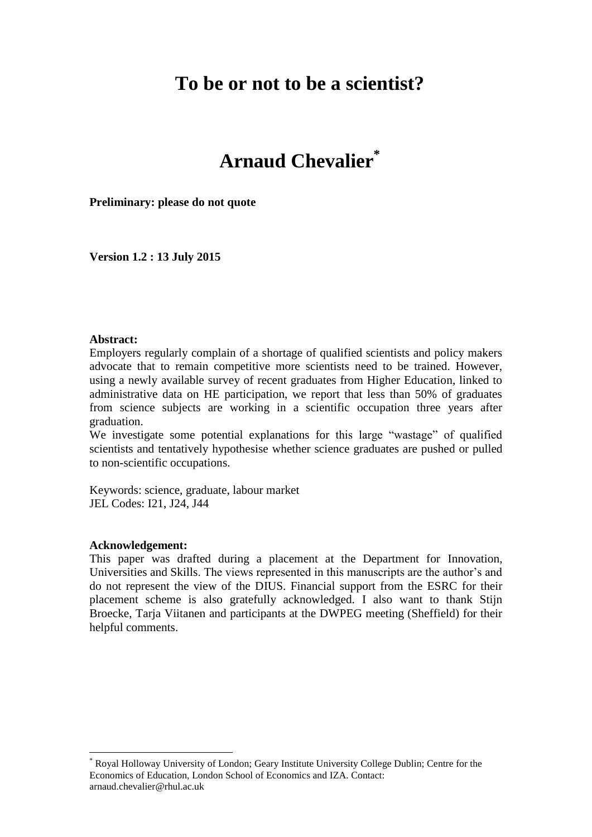# **To be or not to be a scientist?**

# **Arnaud Chevalier\***

**Preliminary: please do not quote**

**Version 1.2 : 13 July 2015**

#### **Abstract:**

Employers regularly complain of a shortage of qualified scientists and policy makers advocate that to remain competitive more scientists need to be trained. However, using a newly available survey of recent graduates from Higher Education, linked to administrative data on HE participation, we report that less than 50% of graduates from science subjects are working in a scientific occupation three years after graduation.

We investigate some potential explanations for this large "wastage" of qualified scientists and tentatively hypothesise whether science graduates are pushed or pulled to non-scientific occupations.

Keywords: science, graduate, labour market JEL Codes: I21, J24, J44

#### **Acknowledgement:**

1

This paper was drafted during a placement at the Department for Innovation, Universities and Skills. The views represented in this manuscripts are the author's and do not represent the view of the DIUS. Financial support from the ESRC for their placement scheme is also gratefully acknowledged. I also want to thank Stijn Broecke, Tarja Viitanen and participants at the DWPEG meeting (Sheffield) for their helpful comments.

Royal Holloway University of London; Geary Institute University College Dublin; Centre for the Economics of Education, London School of Economics and IZA. Contact: arnaud.chevalier@rhul.ac.uk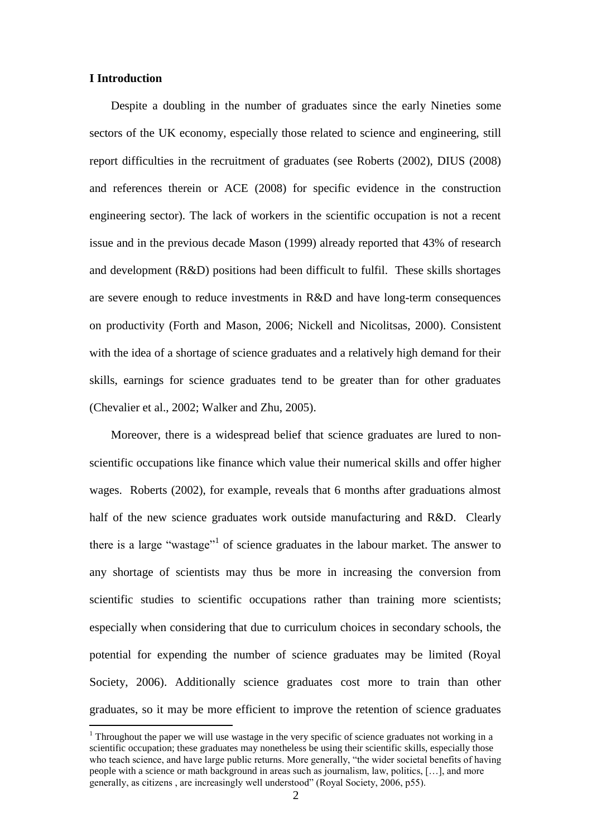#### **I Introduction**

1

Despite a doubling in the number of graduates since the early Nineties some sectors of the UK economy, especially those related to science and engineering, still report difficulties in the recruitment of graduates (see Roberts (2002), DIUS (2008) and references therein or ACE (2008) for specific evidence in the construction engineering sector). The lack of workers in the scientific occupation is not a recent issue and in the previous decade Mason (1999) already reported that 43% of research and development (R&D) positions had been difficult to fulfil. These skills shortages are severe enough to reduce investments in R&D and have long-term consequences on productivity (Forth and Mason, 2006; Nickell and Nicolitsas, 2000). Consistent with the idea of a shortage of science graduates and a relatively high demand for their skills, earnings for science graduates tend to be greater than for other graduates (Chevalier et al., 2002; Walker and Zhu, 2005).

Moreover, there is a widespread belief that science graduates are lured to nonscientific occupations like finance which value their numerical skills and offer higher wages. Roberts (2002), for example, reveals that 6 months after graduations almost half of the new science graduates work outside manufacturing and R&D. Clearly there is a large "wastage"<sup>1</sup> of science graduates in the labour market. The answer to any shortage of scientists may thus be more in increasing the conversion from scientific studies to scientific occupations rather than training more scientists; especially when considering that due to curriculum choices in secondary schools, the potential for expending the number of science graduates may be limited (Royal Society, 2006). Additionally science graduates cost more to train than other graduates, so it may be more efficient to improve the retention of science graduates

 $1$  Throughout the paper we will use wastage in the very specific of science graduates not working in a scientific occupation; these graduates may nonetheless be using their scientific skills, especially those who teach science, and have large public returns. More generally, "the wider societal benefits of having people with a science or math background in areas such as journalism, law, politics, […], and more generally, as citizens , are increasingly well understood" (Royal Society, 2006, p55).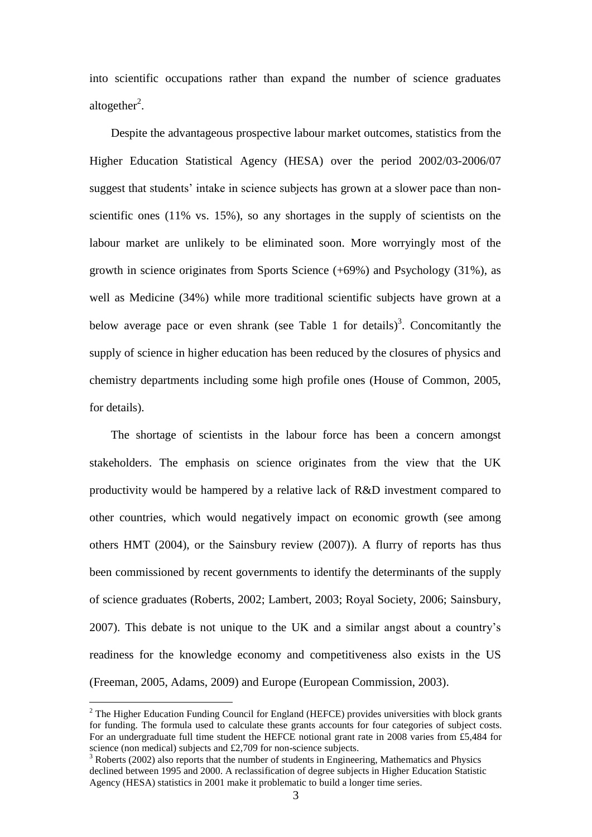into scientific occupations rather than expand the number of science graduates altogether<sup>2</sup>.

Despite the advantageous prospective labour market outcomes, statistics from the Higher Education Statistical Agency (HESA) over the period 2002/03-2006/07 suggest that students' intake in science subjects has grown at a slower pace than nonscientific ones (11% vs. 15%), so any shortages in the supply of scientists on the labour market are unlikely to be eliminated soon. More worryingly most of the growth in science originates from Sports Science (+69%) and Psychology (31%), as well as Medicine (34%) while more traditional scientific subjects have grown at a below average pace or even shrank (see Table 1 for details)<sup>3</sup>. Concomitantly the supply of science in higher education has been reduced by the closures of physics and chemistry departments including some high profile ones (House of Common, 2005, for details).

The shortage of scientists in the labour force has been a concern amongst stakeholders. The emphasis on science originates from the view that the UK productivity would be hampered by a relative lack of R&D investment compared to other countries, which would negatively impact on economic growth (see among others HMT (2004), or the Sainsbury review (2007)). A flurry of reports has thus been commissioned by recent governments to identify the determinants of the supply of science graduates (Roberts, 2002; Lambert, 2003; Royal Society, 2006; Sainsbury, 2007). This debate is not unique to the UK and a similar angst about a country's readiness for the knowledge economy and competitiveness also exists in the US (Freeman, 2005, Adams, 2009) and Europe (European Commission, 2003).

1

<sup>&</sup>lt;sup>2</sup> The Higher Education Funding Council for England (HEFCE) provides universities with block grants for funding. The formula used to calculate these grants accounts for four categories of subject costs. For an undergraduate full time student the HEFCE notional grant rate in 2008 varies from £5,484 for science (non medical) subjects and £2,709 for non-science subjects.

<sup>&</sup>lt;sup>3</sup> Roberts (2002) also reports that the number of students in Engineering, Mathematics and Physics declined between 1995 and 2000. A reclassification of degree subjects in Higher Education Statistic Agency (HESA) statistics in 2001 make it problematic to build a longer time series.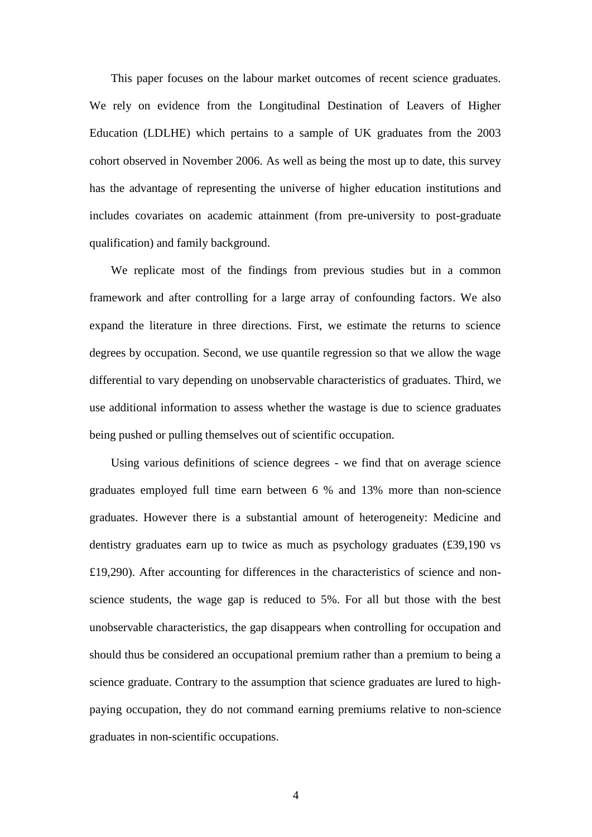This paper focuses on the labour market outcomes of recent science graduates. We rely on evidence from the Longitudinal Destination of Leavers of Higher Education (LDLHE) which pertains to a sample of UK graduates from the 2003 cohort observed in November 2006. As well as being the most up to date, this survey has the advantage of representing the universe of higher education institutions and includes covariates on academic attainment (from pre-university to post-graduate qualification) and family background.

We replicate most of the findings from previous studies but in a common framework and after controlling for a large array of confounding factors. We also expand the literature in three directions. First, we estimate the returns to science degrees by occupation. Second, we use quantile regression so that we allow the wage differential to vary depending on unobservable characteristics of graduates. Third, we use additional information to assess whether the wastage is due to science graduates being pushed or pulling themselves out of scientific occupation.

Using various definitions of science degrees - we find that on average science graduates employed full time earn between 6 % and 13% more than non-science graduates. However there is a substantial amount of heterogeneity: Medicine and dentistry graduates earn up to twice as much as psychology graduates (£39,190 vs £19,290). After accounting for differences in the characteristics of science and nonscience students, the wage gap is reduced to 5%. For all but those with the best unobservable characteristics, the gap disappears when controlling for occupation and should thus be considered an occupational premium rather than a premium to being a science graduate. Contrary to the assumption that science graduates are lured to highpaying occupation, they do not command earning premiums relative to non-science graduates in non-scientific occupations.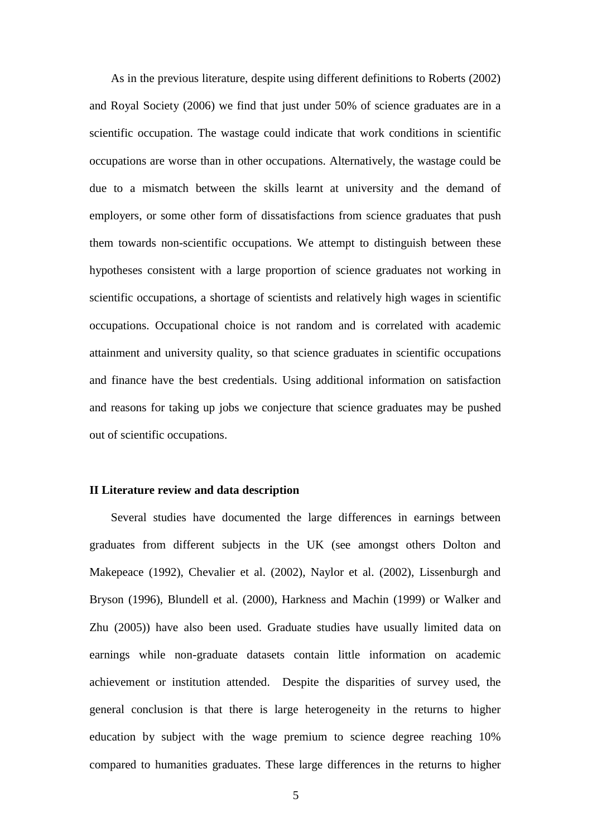As in the previous literature, despite using different definitions to Roberts (2002) and Royal Society (2006) we find that just under 50% of science graduates are in a scientific occupation. The wastage could indicate that work conditions in scientific occupations are worse than in other occupations. Alternatively, the wastage could be due to a mismatch between the skills learnt at university and the demand of employers, or some other form of dissatisfactions from science graduates that push them towards non-scientific occupations. We attempt to distinguish between these hypotheses consistent with a large proportion of science graduates not working in scientific occupations, a shortage of scientists and relatively high wages in scientific occupations. Occupational choice is not random and is correlated with academic attainment and university quality, so that science graduates in scientific occupations and finance have the best credentials. Using additional information on satisfaction and reasons for taking up jobs we conjecture that science graduates may be pushed out of scientific occupations.

#### **II Literature review and data description**

Several studies have documented the large differences in earnings between graduates from different subjects in the UK (see amongst others Dolton and Makepeace (1992), Chevalier et al. (2002), Naylor et al. (2002), Lissenburgh and Bryson (1996), Blundell et al. (2000), Harkness and Machin (1999) or Walker and Zhu (2005)) have also been used. Graduate studies have usually limited data on earnings while non-graduate datasets contain little information on academic achievement or institution attended. Despite the disparities of survey used, the general conclusion is that there is large heterogeneity in the returns to higher education by subject with the wage premium to science degree reaching 10% compared to humanities graduates. These large differences in the returns to higher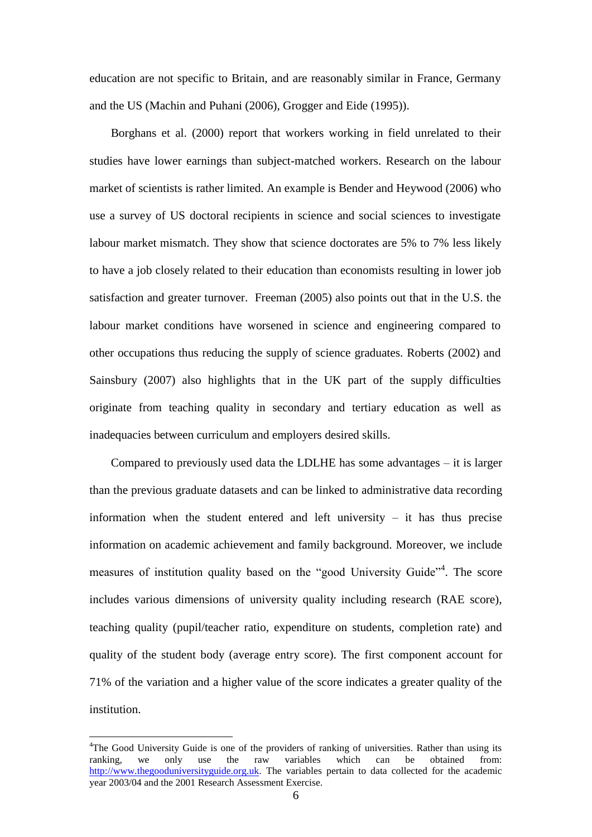education are not specific to Britain, and are reasonably similar in France, Germany and the US (Machin and Puhani (2006), Grogger and Eide (1995)).

Borghans et al. (2000) report that workers working in field unrelated to their studies have lower earnings than subject-matched workers. Research on the labour market of scientists is rather limited. An example is Bender and Heywood (2006) who use a survey of US doctoral recipients in science and social sciences to investigate labour market mismatch. They show that science doctorates are 5% to 7% less likely to have a job closely related to their education than economists resulting in lower job satisfaction and greater turnover. Freeman (2005) also points out that in the U.S. the labour market conditions have worsened in science and engineering compared to other occupations thus reducing the supply of science graduates. Roberts (2002) and Sainsbury (2007) also highlights that in the UK part of the supply difficulties originate from teaching quality in secondary and tertiary education as well as inadequacies between curriculum and employers desired skills.

Compared to previously used data the LDLHE has some advantages – it is larger than the previous graduate datasets and can be linked to administrative data recording information when the student entered and left university – it has thus precise information on academic achievement and family background. Moreover, we include measures of institution quality based on the "good University Guide"<sup>4</sup>. The score includes various dimensions of university quality including research (RAE score), teaching quality (pupil/teacher ratio, expenditure on students, completion rate) and quality of the student body (average entry score). The first component account for 71% of the variation and a higher value of the score indicates a greater quality of the institution.

1

<sup>4</sup>The Good University Guide is one of the providers of ranking of universities. Rather than using its ranking, we only use the raw variables which can be obtained from: [http://www.thegooduniversityguide.org.uk.](http://www.thegooduniversityguide.org.uk/) The variables pertain to data collected for the academic year 2003/04 and the 2001 Research Assessment Exercise.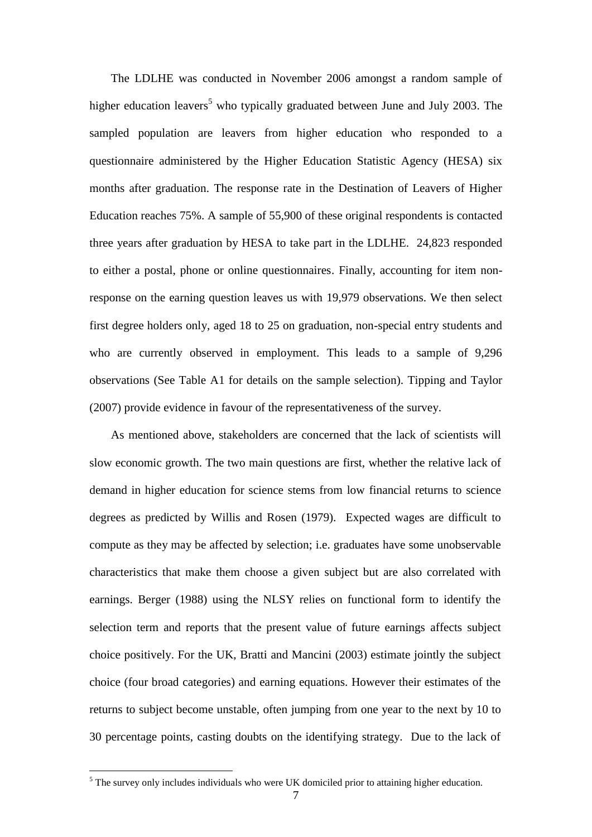The LDLHE was conducted in November 2006 amongst a random sample of higher education leavers<sup>5</sup> who typically graduated between June and July 2003. The sampled population are leavers from higher education who responded to a questionnaire administered by the Higher Education Statistic Agency (HESA) six months after graduation. The response rate in the Destination of Leavers of Higher Education reaches 75%. A sample of 55,900 of these original respondents is contacted three years after graduation by HESA to take part in the LDLHE. 24,823 responded to either a postal, phone or online questionnaires. Finally, accounting for item nonresponse on the earning question leaves us with 19,979 observations. We then select first degree holders only, aged 18 to 25 on graduation, non-special entry students and who are currently observed in employment. This leads to a sample of 9,296 observations (See Table A1 for details on the sample selection). Tipping and Taylor (2007) provide evidence in favour of the representativeness of the survey.

As mentioned above, stakeholders are concerned that the lack of scientists will slow economic growth. The two main questions are first, whether the relative lack of demand in higher education for science stems from low financial returns to science degrees as predicted by Willis and Rosen (1979). Expected wages are difficult to compute as they may be affected by selection; i.e. graduates have some unobservable characteristics that make them choose a given subject but are also correlated with earnings. Berger (1988) using the NLSY relies on functional form to identify the selection term and reports that the present value of future earnings affects subject choice positively. For the UK, Bratti and Mancini (2003) estimate jointly the subject choice (four broad categories) and earning equations. However their estimates of the returns to subject become unstable, often jumping from one year to the next by 10 to 30 percentage points, casting doubts on the identifying strategy. Due to the lack of

1

 $<sup>5</sup>$  The survey only includes individuals who were UK domiciled prior to attaining higher education.</sup>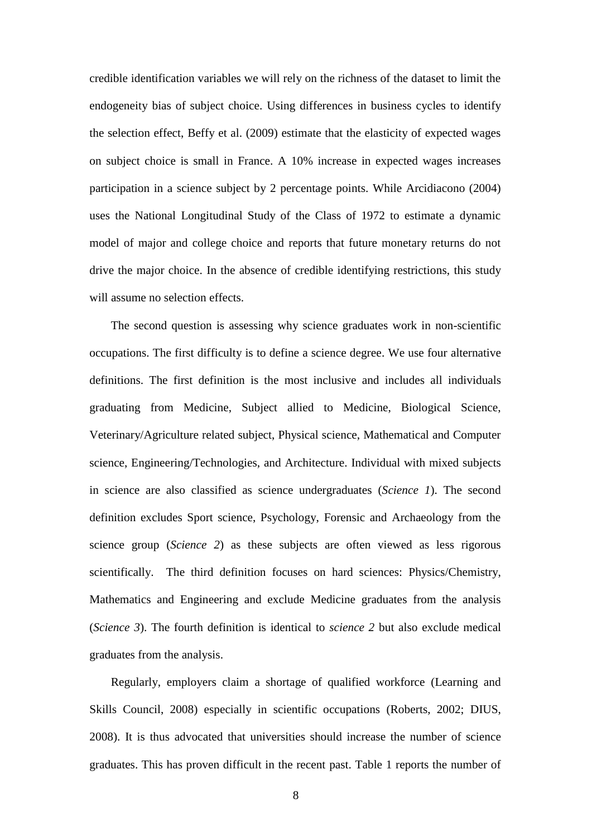credible identification variables we will rely on the richness of the dataset to limit the endogeneity bias of subject choice. Using differences in business cycles to identify the selection effect, Beffy et al. (2009) estimate that the elasticity of expected wages on subject choice is small in France. A 10% increase in expected wages increases participation in a science subject by 2 percentage points. While Arcidiacono (2004) uses the National Longitudinal Study of the Class of 1972 to estimate a dynamic model of major and college choice and reports that future monetary returns do not drive the major choice. In the absence of credible identifying restrictions, this study will assume no selection effects.

The second question is assessing why science graduates work in non-scientific occupations. The first difficulty is to define a science degree. We use four alternative definitions. The first definition is the most inclusive and includes all individuals graduating from Medicine, Subject allied to Medicine, Biological Science, Veterinary/Agriculture related subject, Physical science, Mathematical and Computer science, Engineering/Technologies, and Architecture. Individual with mixed subjects in science are also classified as science undergraduates (*Science 1*). The second definition excludes Sport science, Psychology, Forensic and Archaeology from the science group (*Science 2*) as these subjects are often viewed as less rigorous scientifically. The third definition focuses on hard sciences: Physics/Chemistry, Mathematics and Engineering and exclude Medicine graduates from the analysis (*Science 3*). The fourth definition is identical to *science 2* but also exclude medical graduates from the analysis.

Regularly, employers claim a shortage of qualified workforce (Learning and Skills Council, 2008) especially in scientific occupations (Roberts, 2002; DIUS, 2008). It is thus advocated that universities should increase the number of science graduates. This has proven difficult in the recent past. Table 1 reports the number of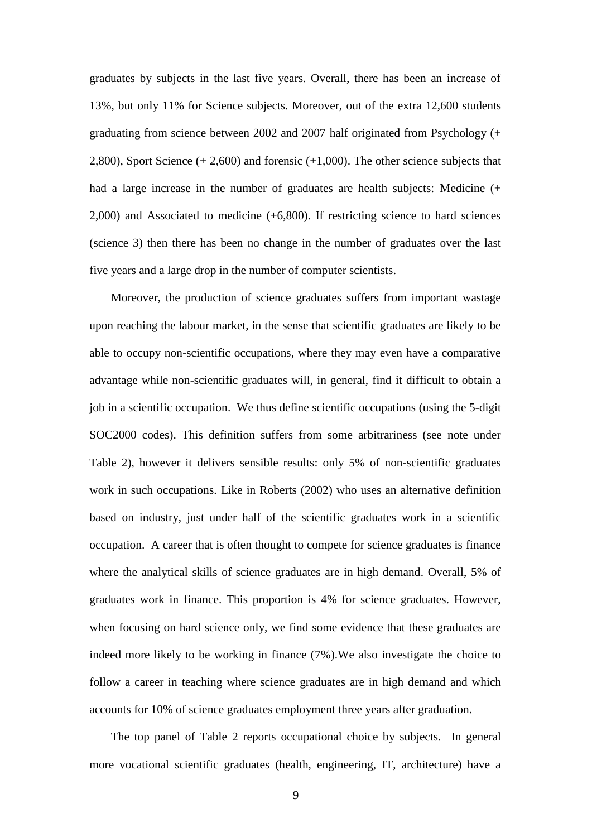graduates by subjects in the last five years. Overall, there has been an increase of 13%, but only 11% for Science subjects. Moreover, out of the extra 12,600 students graduating from science between 2002 and 2007 half originated from Psychology (+ 2,800), Sport Science (+ 2,600) and forensic (+1,000). The other science subjects that had a large increase in the number of graduates are health subjects: Medicine (+ 2,000) and Associated to medicine (+6,800). If restricting science to hard sciences (science 3) then there has been no change in the number of graduates over the last five years and a large drop in the number of computer scientists.

Moreover, the production of science graduates suffers from important wastage upon reaching the labour market, in the sense that scientific graduates are likely to be able to occupy non-scientific occupations, where they may even have a comparative advantage while non-scientific graduates will, in general, find it difficult to obtain a job in a scientific occupation. We thus define scientific occupations (using the 5-digit SOC2000 codes). This definition suffers from some arbitrariness (see note under Table 2), however it delivers sensible results: only 5% of non-scientific graduates work in such occupations. Like in Roberts (2002) who uses an alternative definition based on industry, just under half of the scientific graduates work in a scientific occupation. A career that is often thought to compete for science graduates is finance where the analytical skills of science graduates are in high demand. Overall, 5% of graduates work in finance. This proportion is 4% for science graduates. However, when focusing on hard science only, we find some evidence that these graduates are indeed more likely to be working in finance (7%).We also investigate the choice to follow a career in teaching where science graduates are in high demand and which accounts for 10% of science graduates employment three years after graduation.

The top panel of Table 2 reports occupational choice by subjects. In general more vocational scientific graduates (health, engineering, IT, architecture) have a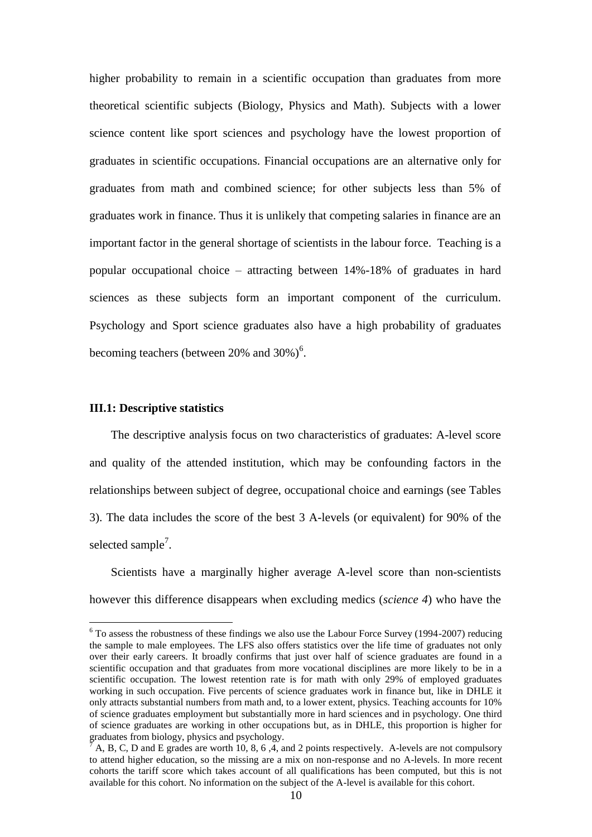higher probability to remain in a scientific occupation than graduates from more theoretical scientific subjects (Biology, Physics and Math). Subjects with a lower science content like sport sciences and psychology have the lowest proportion of graduates in scientific occupations. Financial occupations are an alternative only for graduates from math and combined science; for other subjects less than 5% of graduates work in finance. Thus it is unlikely that competing salaries in finance are an important factor in the general shortage of scientists in the labour force. Teaching is a popular occupational choice – attracting between 14%-18% of graduates in hard sciences as these subjects form an important component of the curriculum. Psychology and Sport science graduates also have a high probability of graduates becoming teachers (between  $20\%$  and  $30\%$ )<sup>6</sup>.

#### **III.1: Descriptive statistics**

<u>.</u>

The descriptive analysis focus on two characteristics of graduates: A-level score and quality of the attended institution, which may be confounding factors in the relationships between subject of degree, occupational choice and earnings (see Tables 3). The data includes the score of the best 3 A-levels (or equivalent) for 90% of the selected sample<sup>7</sup>.

Scientists have a marginally higher average A-level score than non-scientists however this difference disappears when excluding medics (*science 4*) who have the

 $6$  To assess the robustness of these findings we also use the Labour Force Survey (1994-2007) reducing the sample to male employees. The LFS also offers statistics over the life time of graduates not only over their early careers. It broadly confirms that just over half of science graduates are found in a scientific occupation and that graduates from more vocational disciplines are more likely to be in a scientific occupation. The lowest retention rate is for math with only 29% of employed graduates working in such occupation. Five percents of science graduates work in finance but, like in DHLE it only attracts substantial numbers from math and, to a lower extent, physics. Teaching accounts for 10% of science graduates employment but substantially more in hard sciences and in psychology. One third of science graduates are working in other occupations but, as in DHLE, this proportion is higher for graduates from biology, physics and psychology.

<sup>7</sup> A, B, C, D and E grades are worth 10, 8, 6 ,4, and 2 points respectively. A-levels are not compulsory to attend higher education, so the missing are a mix on non-response and no A-levels. In more recent cohorts the tariff score which takes account of all qualifications has been computed, but this is not available for this cohort. No information on the subject of the A-level is available for this cohort.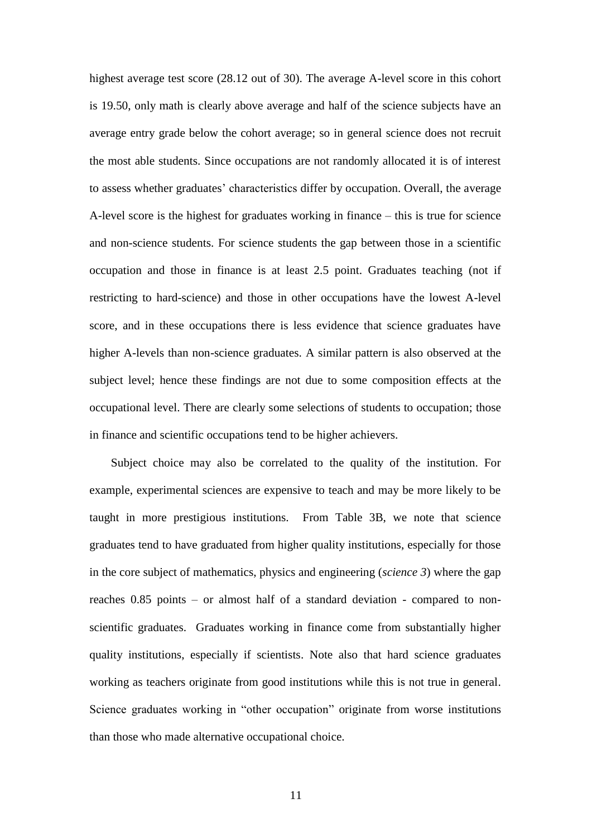highest average test score (28.12 out of 30). The average A-level score in this cohort is 19.50, only math is clearly above average and half of the science subjects have an average entry grade below the cohort average; so in general science does not recruit the most able students. Since occupations are not randomly allocated it is of interest to assess whether graduates' characteristics differ by occupation. Overall, the average A-level score is the highest for graduates working in finance – this is true for science and non-science students. For science students the gap between those in a scientific occupation and those in finance is at least 2.5 point. Graduates teaching (not if restricting to hard-science) and those in other occupations have the lowest A-level score, and in these occupations there is less evidence that science graduates have higher A-levels than non-science graduates. A similar pattern is also observed at the subject level; hence these findings are not due to some composition effects at the occupational level. There are clearly some selections of students to occupation; those in finance and scientific occupations tend to be higher achievers.

Subject choice may also be correlated to the quality of the institution. For example, experimental sciences are expensive to teach and may be more likely to be taught in more prestigious institutions. From Table 3B, we note that science graduates tend to have graduated from higher quality institutions, especially for those in the core subject of mathematics, physics and engineering (*science 3*) where the gap reaches 0.85 points – or almost half of a standard deviation - compared to nonscientific graduates. Graduates working in finance come from substantially higher quality institutions, especially if scientists. Note also that hard science graduates working as teachers originate from good institutions while this is not true in general. Science graduates working in "other occupation" originate from worse institutions than those who made alternative occupational choice.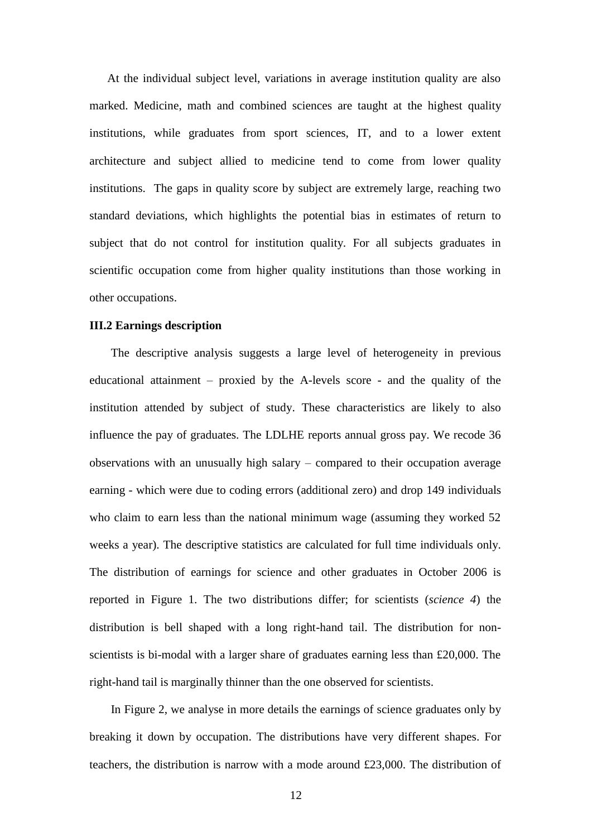At the individual subject level, variations in average institution quality are also marked. Medicine, math and combined sciences are taught at the highest quality institutions, while graduates from sport sciences, IT, and to a lower extent architecture and subject allied to medicine tend to come from lower quality institutions. The gaps in quality score by subject are extremely large, reaching two standard deviations, which highlights the potential bias in estimates of return to subject that do not control for institution quality. For all subjects graduates in scientific occupation come from higher quality institutions than those working in other occupations.

#### **III.2 Earnings description**

The descriptive analysis suggests a large level of heterogeneity in previous educational attainment – proxied by the A-levels score - and the quality of the institution attended by subject of study. These characteristics are likely to also influence the pay of graduates. The LDLHE reports annual gross pay. We recode 36 observations with an unusually high salary – compared to their occupation average earning - which were due to coding errors (additional zero) and drop 149 individuals who claim to earn less than the national minimum wage (assuming they worked 52 weeks a year). The descriptive statistics are calculated for full time individuals only. The distribution of earnings for science and other graduates in October 2006 is reported in Figure 1. The two distributions differ; for scientists (*science 4*) the distribution is bell shaped with a long right-hand tail. The distribution for nonscientists is bi-modal with a larger share of graduates earning less than £20,000. The right-hand tail is marginally thinner than the one observed for scientists.

In Figure 2, we analyse in more details the earnings of science graduates only by breaking it down by occupation. The distributions have very different shapes. For teachers, the distribution is narrow with a mode around £23,000. The distribution of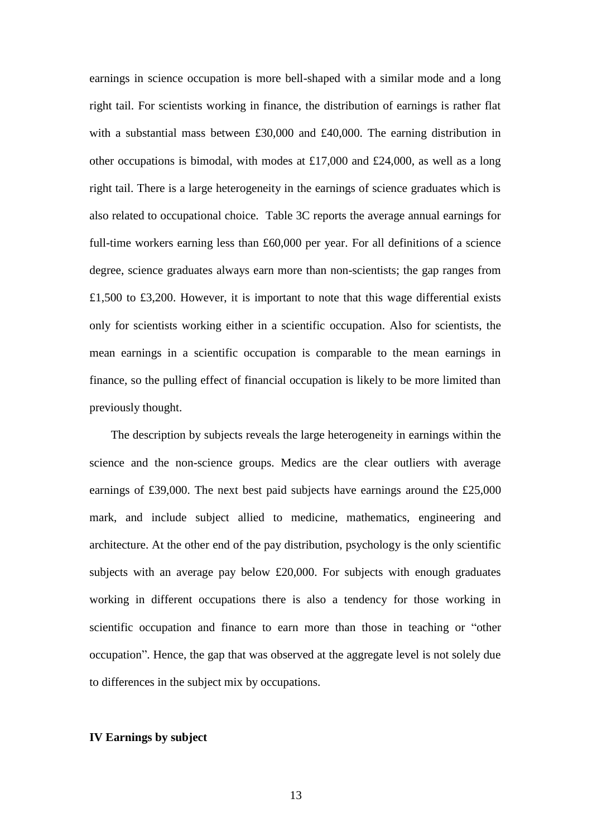earnings in science occupation is more bell-shaped with a similar mode and a long right tail. For scientists working in finance, the distribution of earnings is rather flat with a substantial mass between £30,000 and £40,000. The earning distribution in other occupations is bimodal, with modes at £17,000 and £24,000, as well as a long right tail. There is a large heterogeneity in the earnings of science graduates which is also related to occupational choice. Table 3C reports the average annual earnings for full-time workers earning less than £60,000 per year. For all definitions of a science degree, science graduates always earn more than non-scientists; the gap ranges from £1,500 to £3,200. However, it is important to note that this wage differential exists only for scientists working either in a scientific occupation. Also for scientists, the mean earnings in a scientific occupation is comparable to the mean earnings in finance, so the pulling effect of financial occupation is likely to be more limited than previously thought.

The description by subjects reveals the large heterogeneity in earnings within the science and the non-science groups. Medics are the clear outliers with average earnings of £39,000. The next best paid subjects have earnings around the £25,000 mark, and include subject allied to medicine, mathematics, engineering and architecture. At the other end of the pay distribution, psychology is the only scientific subjects with an average pay below £20,000. For subjects with enough graduates working in different occupations there is also a tendency for those working in scientific occupation and finance to earn more than those in teaching or "other occupation". Hence, the gap that was observed at the aggregate level is not solely due to differences in the subject mix by occupations.

#### **IV Earnings by subject**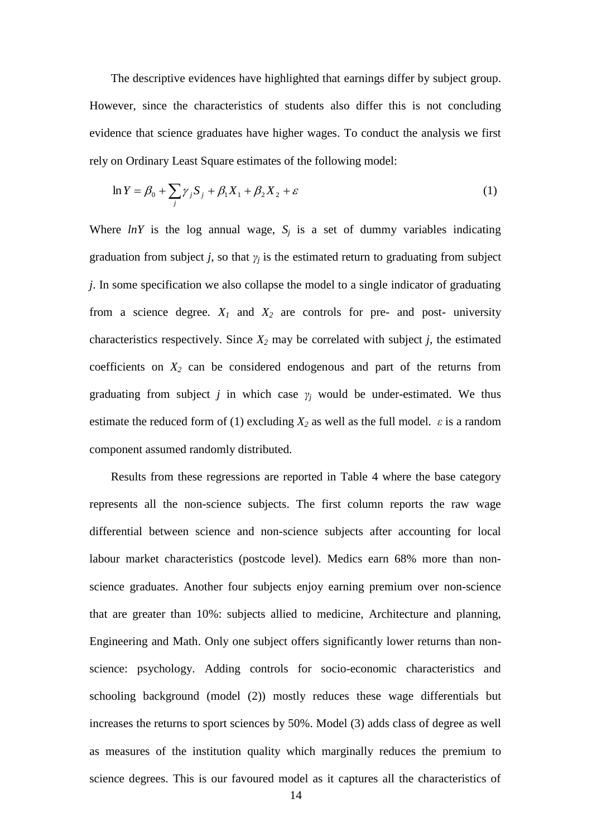The descriptive evidences have highlighted that earnings differ by subject group. However, since the characteristics of students also differ this is not concluding evidence that science graduates have higher wages. To conduct the analysis we first rely on Ordinary Least Square estimates of the following model:

$$
\ln Y = \beta_0 + \sum_j \gamma_j S_j + \beta_1 X_1 + \beta_2 X_2 + \varepsilon \tag{1}
$$

Where  $lnY$  is the log annual wage,  $S_j$  is a set of dummy variables indicating graduation from subject *j*, so that  $\gamma_i$  is the estimated return to graduating from subject *j*. In some specification we also collapse the model to a single indicator of graduating from a science degree.  $X_I$  and  $X_2$  are controls for pre- and post- university characteristics respectively. Since  $X_2$  may be correlated with subject  $j$ , the estimated coefficients on *X<sup>2</sup>* can be considered endogenous and part of the returns from graduating from subject *j* in which case  $\gamma_i$  would be under-estimated. We thus estimate the reduced form of (1) excluding  $X_2$  as well as the full model.  $\varepsilon$  is a random component assumed randomly distributed.

Results from these regressions are reported in Table 4 where the base category represents all the non-science subjects. The first column reports the raw wage differential between science and non-science subjects after accounting for local labour market characteristics (postcode level). Medics earn 68% more than nonscience graduates. Another four subjects enjoy earning premium over non-science that are greater than 10%: subjects allied to medicine, Architecture and planning, Engineering and Math. Only one subject offers significantly lower returns than nonscience: psychology. Adding controls for socio-economic characteristics and schooling background (model (2)) mostly reduces these wage differentials but increases the returns to sport sciences by 50%. Model (3) adds class of degree as well as measures of the institution quality which marginally reduces the premium to science degrees. This is our favoured model as it captures all the characteristics of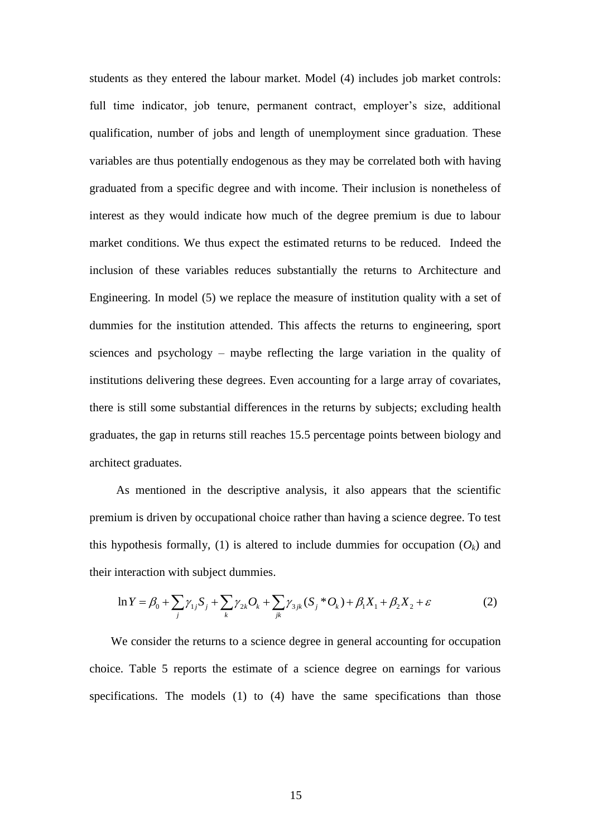students as they entered the labour market. Model (4) includes job market controls: full time indicator, job tenure, permanent contract, employer's size, additional qualification, number of jobs and length of unemployment since graduation. These variables are thus potentially endogenous as they may be correlated both with having graduated from a specific degree and with income. Their inclusion is nonetheless of interest as they would indicate how much of the degree premium is due to labour market conditions. We thus expect the estimated returns to be reduced. Indeed the inclusion of these variables reduces substantially the returns to Architecture and Engineering. In model (5) we replace the measure of institution quality with a set of dummies for the institution attended. This affects the returns to engineering, sport sciences and psychology – maybe reflecting the large variation in the quality of institutions delivering these degrees. Even accounting for a large array of covariates, there is still some substantial differences in the returns by subjects; excluding health graduates, the gap in returns still reaches 15.5 percentage points between biology and architect graduates.

As mentioned in the descriptive analysis, it also appears that the scientific premium is driven by occupational choice rather than having a science degree. To test this hypothesis formally, (1) is altered to include dummies for occupation  $(O_k)$  and their interaction with subject dummies.<br>  $\ln Y = \beta_0 + \sum_j \gamma_{1j} S_j + \sum_k \gamma_{2k} O_k + \sum_{jk} \gamma_{3jk} (S_j^* O_k) + \beta_1 X_1 + \beta_2 X_2 + \varepsilon$  (2)

their interaction with subject dummies.  
\n
$$
\ln Y = \beta_0 + \sum_j \gamma_{1j} S_j + \sum_k \gamma_{2k} O_k + \sum_{jk} \gamma_{3jk} (S_j^* O_k) + \beta_1 X_1 + \beta_2 X_2 + \varepsilon
$$
\n(2)

We consider the returns to a science degree in general accounting for occupation choice. Table 5 reports the estimate of a science degree on earnings for various specifications. The models (1) to (4) have the same specifications than those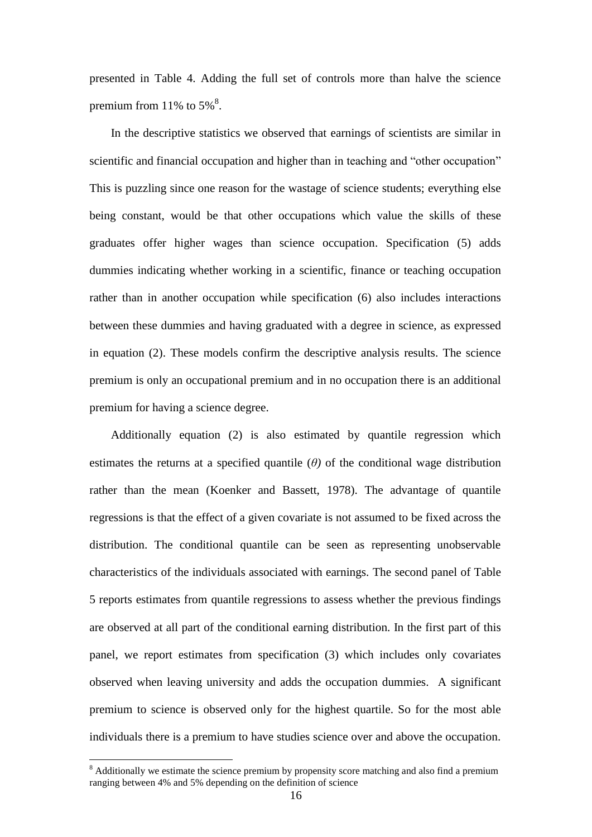presented in Table 4. Adding the full set of controls more than halve the science premium from 11% to  $5\%$ <sup>8</sup>.

In the descriptive statistics we observed that earnings of scientists are similar in scientific and financial occupation and higher than in teaching and "other occupation" This is puzzling since one reason for the wastage of science students; everything else being constant, would be that other occupations which value the skills of these graduates offer higher wages than science occupation. Specification (5) adds dummies indicating whether working in a scientific, finance or teaching occupation rather than in another occupation while specification (6) also includes interactions between these dummies and having graduated with a degree in science, as expressed in equation (2). These models confirm the descriptive analysis results. The science premium is only an occupational premium and in no occupation there is an additional premium for having a science degree.

Additionally equation (2) is also estimated by quantile regression which estimates the returns at a specified quantile  $(\theta)$  of the conditional wage distribution rather than the mean (Koenker and Bassett, 1978). The advantage of quantile regressions is that the effect of a given covariate is not assumed to be fixed across the distribution. The conditional quantile can be seen as representing unobservable characteristics of the individuals associated with earnings. The second panel of Table 5 reports estimates from quantile regressions to assess whether the previous findings are observed at all part of the conditional earning distribution. In the first part of this panel, we report estimates from specification (3) which includes only covariates observed when leaving university and adds the occupation dummies. A significant premium to science is observed only for the highest quartile. So for the most able individuals there is a premium to have studies science over and above the occupation.

<u>.</u>

<sup>&</sup>lt;sup>8</sup> Additionally we estimate the science premium by propensity score matching and also find a premium ranging between 4% and 5% depending on the definition of science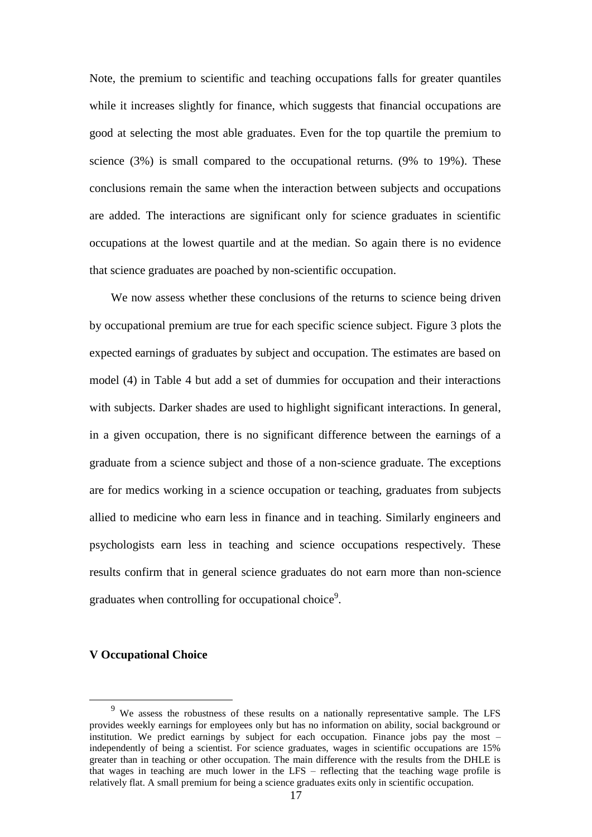Note, the premium to scientific and teaching occupations falls for greater quantiles while it increases slightly for finance, which suggests that financial occupations are good at selecting the most able graduates. Even for the top quartile the premium to science  $(3\%)$  is small compared to the occupational returns.  $(9\%$  to  $19\%)$ . These conclusions remain the same when the interaction between subjects and occupations are added. The interactions are significant only for science graduates in scientific occupations at the lowest quartile and at the median. So again there is no evidence that science graduates are poached by non-scientific occupation.

We now assess whether these conclusions of the returns to science being driven by occupational premium are true for each specific science subject. Figure 3 plots the expected earnings of graduates by subject and occupation. The estimates are based on model (4) in Table 4 but add a set of dummies for occupation and their interactions with subjects. Darker shades are used to highlight significant interactions. In general, in a given occupation, there is no significant difference between the earnings of a graduate from a science subject and those of a non-science graduate. The exceptions are for medics working in a science occupation or teaching, graduates from subjects allied to medicine who earn less in finance and in teaching. Similarly engineers and psychologists earn less in teaching and science occupations respectively. These results confirm that in general science graduates do not earn more than non-science graduates when controlling for occupational choice<sup>9</sup>.

#### **V Occupational Choice**

1

<sup>9</sup> We assess the robustness of these results on a nationally representative sample. The LFS provides weekly earnings for employees only but has no information on ability, social background or institution. We predict earnings by subject for each occupation. Finance jobs pay the most – independently of being a scientist. For science graduates, wages in scientific occupations are 15% greater than in teaching or other occupation. The main difference with the results from the DHLE is that wages in teaching are much lower in the LFS – reflecting that the teaching wage profile is relatively flat. A small premium for being a science graduates exits only in scientific occupation.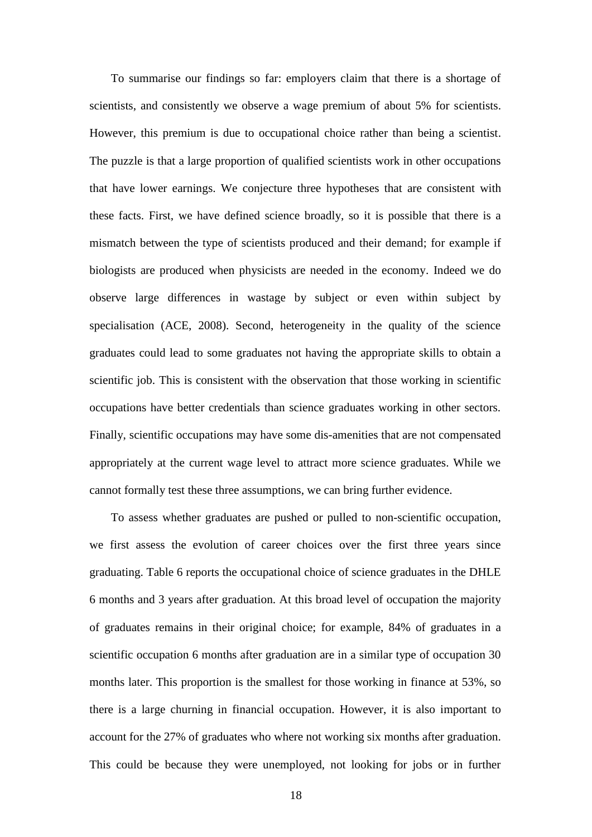To summarise our findings so far: employers claim that there is a shortage of scientists, and consistently we observe a wage premium of about 5% for scientists. However, this premium is due to occupational choice rather than being a scientist. The puzzle is that a large proportion of qualified scientists work in other occupations that have lower earnings. We conjecture three hypotheses that are consistent with these facts. First, we have defined science broadly, so it is possible that there is a mismatch between the type of scientists produced and their demand; for example if biologists are produced when physicists are needed in the economy. Indeed we do observe large differences in wastage by subject or even within subject by specialisation (ACE, 2008). Second, heterogeneity in the quality of the science graduates could lead to some graduates not having the appropriate skills to obtain a scientific job. This is consistent with the observation that those working in scientific occupations have better credentials than science graduates working in other sectors. Finally, scientific occupations may have some dis-amenities that are not compensated appropriately at the current wage level to attract more science graduates. While we cannot formally test these three assumptions, we can bring further evidence.

To assess whether graduates are pushed or pulled to non-scientific occupation, we first assess the evolution of career choices over the first three years since graduating. Table 6 reports the occupational choice of science graduates in the DHLE 6 months and 3 years after graduation. At this broad level of occupation the majority of graduates remains in their original choice; for example, 84% of graduates in a scientific occupation 6 months after graduation are in a similar type of occupation 30 months later. This proportion is the smallest for those working in finance at 53%, so there is a large churning in financial occupation. However, it is also important to account for the 27% of graduates who where not working six months after graduation. This could be because they were unemployed, not looking for jobs or in further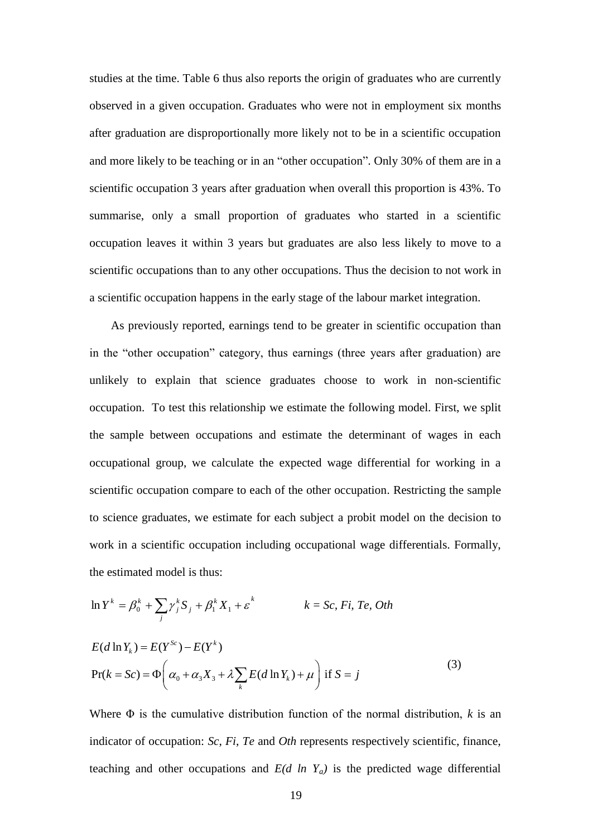studies at the time. Table 6 thus also reports the origin of graduates who are currently observed in a given occupation. Graduates who were not in employment six months after graduation are disproportionally more likely not to be in a scientific occupation and more likely to be teaching or in an "other occupation". Only 30% of them are in a scientific occupation 3 years after graduation when overall this proportion is 43%. To summarise, only a small proportion of graduates who started in a scientific occupation leaves it within 3 years but graduates are also less likely to move to a scientific occupations than to any other occupations. Thus the decision to not work in a scientific occupation happens in the early stage of the labour market integration.

As previously reported, earnings tend to be greater in scientific occupation than in the "other occupation" category, thus earnings (three years after graduation) are unlikely to explain that science graduates choose to work in non-scientific occupation. To test this relationship we estimate the following model. First, we split the sample between occupations and estimate the determinant of wages in each occupational group, we calculate the expected wage differential for working in a scientific occupation compare to each of the other occupation. Restricting the sample to science graduates, we estimate for each subject a probit model on the decision to work in a scientific occupation including occupational wage differentials. Formally, the estimated model is thus:

$$
\ln Y^{k} = \beta_{0}^{k} + \sum_{j} \gamma_{j}^{k} S_{j} + \beta_{1}^{k} X_{1} + \varepsilon^{k} \qquad k = Sc, Fi, Te, Oth
$$
  

$$
E(d \ln Y_{k}) = E(Y^{Sc}) - E(Y^{k})
$$
  

$$
\Pr(k = Sc) = \Phi\left(\alpha_{0} + \alpha_{3} X_{3} + \lambda \sum_{k} E(d \ln Y_{k}) + \mu\right) \text{ if } S = j
$$

Where Φ is the cumulative distribution function of the normal distribution, *k* is an indicator of occupation: *Sc*, *Fi*, *Te* and *Oth* represents respectively scientific, finance, teaching and other occupations and  $E(d \ln Y_a)$  is the predicted wage differential

(3)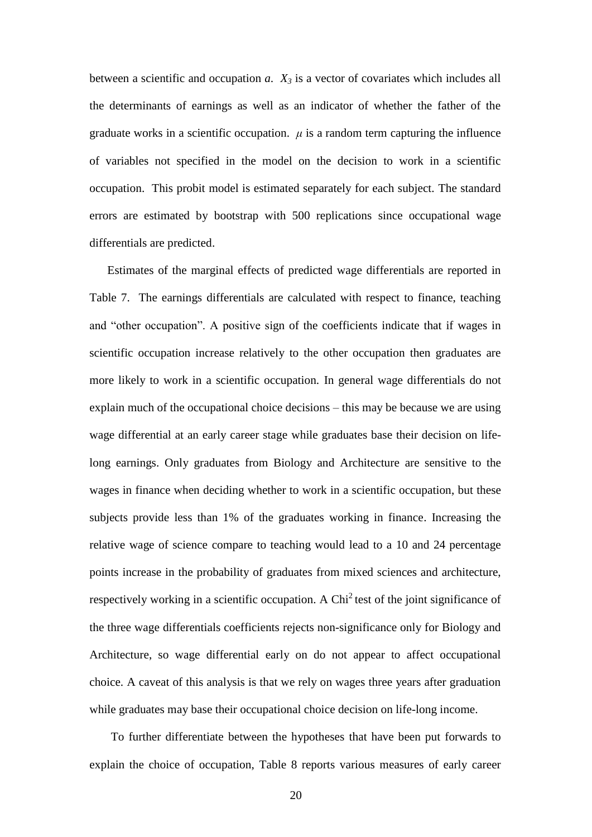between a scientific and occupation *a*. *X<sup>3</sup>* is a vector of covariates which includes all the determinants of earnings as well as an indicator of whether the father of the graduate works in a scientific occupation.  $\mu$  is a random term capturing the influence of variables not specified in the model on the decision to work in a scientific occupation. This probit model is estimated separately for each subject. The standard errors are estimated by bootstrap with 500 replications since occupational wage differentials are predicted.

Estimates of the marginal effects of predicted wage differentials are reported in Table 7. The earnings differentials are calculated with respect to finance, teaching and "other occupation". A positive sign of the coefficients indicate that if wages in scientific occupation increase relatively to the other occupation then graduates are more likely to work in a scientific occupation. In general wage differentials do not explain much of the occupational choice decisions – this may be because we are using wage differential at an early career stage while graduates base their decision on lifelong earnings. Only graduates from Biology and Architecture are sensitive to the wages in finance when deciding whether to work in a scientific occupation, but these subjects provide less than 1% of the graduates working in finance. Increasing the relative wage of science compare to teaching would lead to a 10 and 24 percentage points increase in the probability of graduates from mixed sciences and architecture, respectively working in a scientific occupation. A  $\text{Chi}^2$  test of the joint significance of the three wage differentials coefficients rejects non-significance only for Biology and Architecture, so wage differential early on do not appear to affect occupational choice. A caveat of this analysis is that we rely on wages three years after graduation while graduates may base their occupational choice decision on life-long income.

To further differentiate between the hypotheses that have been put forwards to explain the choice of occupation, Table 8 reports various measures of early career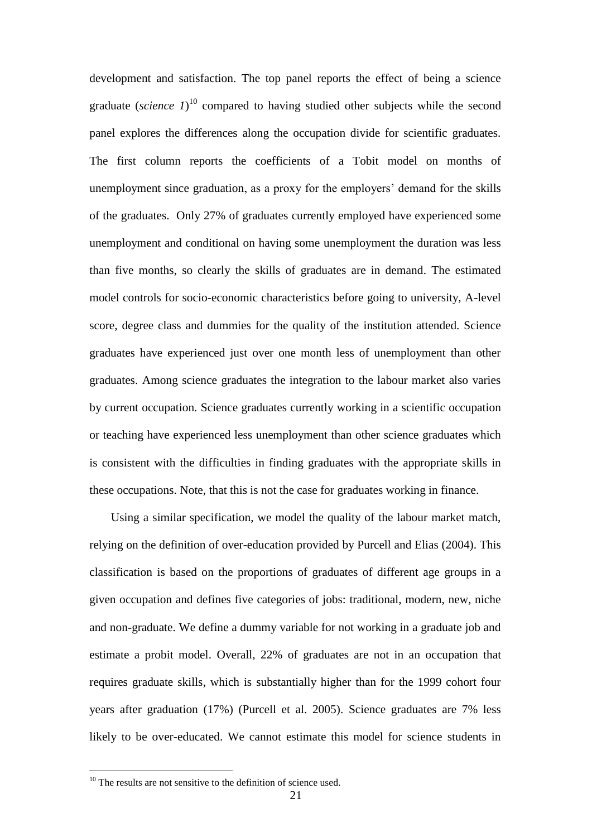development and satisfaction. The top panel reports the effect of being a science graduate (*science 1*)<sup>10</sup> compared to having studied other subjects while the second panel explores the differences along the occupation divide for scientific graduates. The first column reports the coefficients of a Tobit model on months of unemployment since graduation, as a proxy for the employers' demand for the skills of the graduates. Only 27% of graduates currently employed have experienced some unemployment and conditional on having some unemployment the duration was less than five months, so clearly the skills of graduates are in demand. The estimated model controls for socio-economic characteristics before going to university, A-level score, degree class and dummies for the quality of the institution attended. Science graduates have experienced just over one month less of unemployment than other graduates. Among science graduates the integration to the labour market also varies by current occupation. Science graduates currently working in a scientific occupation or teaching have experienced less unemployment than other science graduates which is consistent with the difficulties in finding graduates with the appropriate skills in these occupations. Note, that this is not the case for graduates working in finance.

Using a similar specification, we model the quality of the labour market match, relying on the definition of over-education provided by Purcell and Elias (2004). This classification is based on the proportions of graduates of different age groups in a given occupation and defines five categories of jobs: traditional, modern, new, niche and non-graduate. We define a dummy variable for not working in a graduate job and estimate a probit model. Overall, 22% of graduates are not in an occupation that requires graduate skills, which is substantially higher than for the 1999 cohort four years after graduation (17%) (Purcell et al. 2005). Science graduates are 7% less likely to be over-educated. We cannot estimate this model for science students in

1

 $10$  The results are not sensitive to the definition of science used.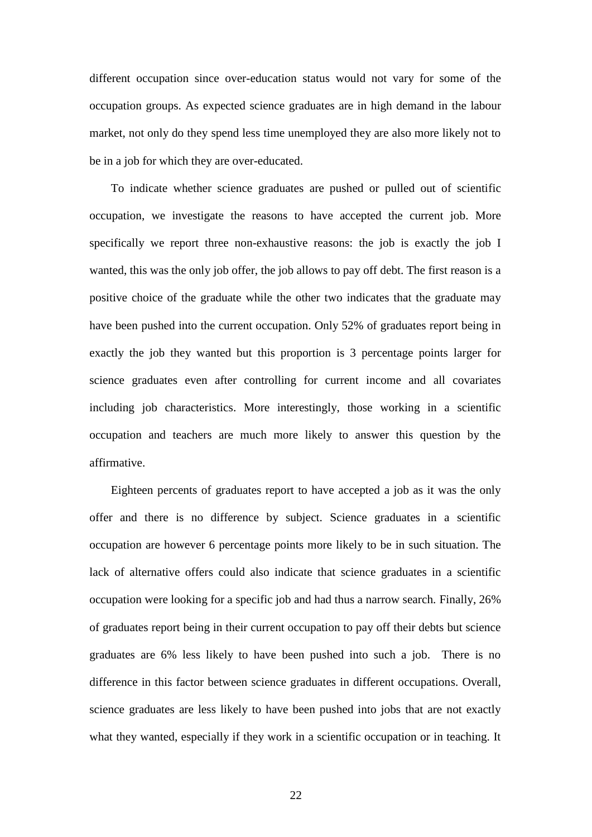different occupation since over-education status would not vary for some of the occupation groups. As expected science graduates are in high demand in the labour market, not only do they spend less time unemployed they are also more likely not to be in a job for which they are over-educated.

To indicate whether science graduates are pushed or pulled out of scientific occupation, we investigate the reasons to have accepted the current job. More specifically we report three non-exhaustive reasons: the job is exactly the job I wanted, this was the only job offer, the job allows to pay off debt. The first reason is a positive choice of the graduate while the other two indicates that the graduate may have been pushed into the current occupation. Only 52% of graduates report being in exactly the job they wanted but this proportion is 3 percentage points larger for science graduates even after controlling for current income and all covariates including job characteristics. More interestingly, those working in a scientific occupation and teachers are much more likely to answer this question by the affirmative.

Eighteen percents of graduates report to have accepted a job as it was the only offer and there is no difference by subject. Science graduates in a scientific occupation are however 6 percentage points more likely to be in such situation. The lack of alternative offers could also indicate that science graduates in a scientific occupation were looking for a specific job and had thus a narrow search. Finally, 26% of graduates report being in their current occupation to pay off their debts but science graduates are 6% less likely to have been pushed into such a job. There is no difference in this factor between science graduates in different occupations. Overall, science graduates are less likely to have been pushed into jobs that are not exactly what they wanted, especially if they work in a scientific occupation or in teaching. It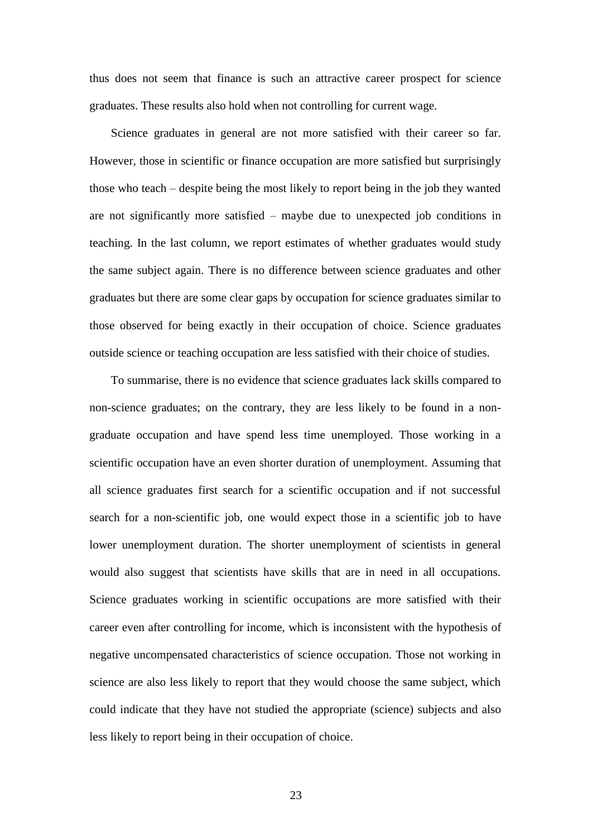thus does not seem that finance is such an attractive career prospect for science graduates. These results also hold when not controlling for current wage.

Science graduates in general are not more satisfied with their career so far. However, those in scientific or finance occupation are more satisfied but surprisingly those who teach – despite being the most likely to report being in the job they wanted are not significantly more satisfied – maybe due to unexpected job conditions in teaching. In the last column, we report estimates of whether graduates would study the same subject again. There is no difference between science graduates and other graduates but there are some clear gaps by occupation for science graduates similar to those observed for being exactly in their occupation of choice. Science graduates outside science or teaching occupation are less satisfied with their choice of studies.

To summarise, there is no evidence that science graduates lack skills compared to non-science graduates; on the contrary, they are less likely to be found in a nongraduate occupation and have spend less time unemployed. Those working in a scientific occupation have an even shorter duration of unemployment. Assuming that all science graduates first search for a scientific occupation and if not successful search for a non-scientific job, one would expect those in a scientific job to have lower unemployment duration. The shorter unemployment of scientists in general would also suggest that scientists have skills that are in need in all occupations. Science graduates working in scientific occupations are more satisfied with their career even after controlling for income, which is inconsistent with the hypothesis of negative uncompensated characteristics of science occupation. Those not working in science are also less likely to report that they would choose the same subject, which could indicate that they have not studied the appropriate (science) subjects and also less likely to report being in their occupation of choice.

23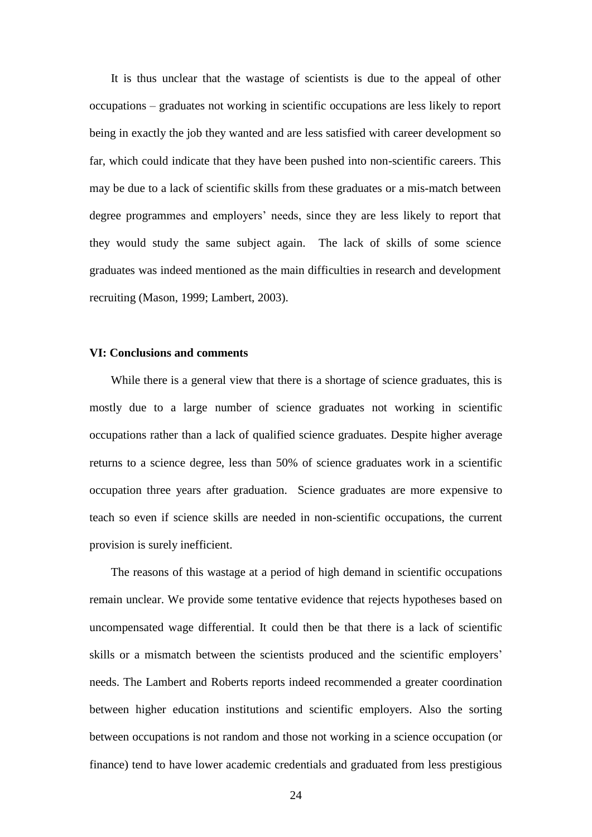It is thus unclear that the wastage of scientists is due to the appeal of other occupations – graduates not working in scientific occupations are less likely to report being in exactly the job they wanted and are less satisfied with career development so far, which could indicate that they have been pushed into non-scientific careers. This may be due to a lack of scientific skills from these graduates or a mis-match between degree programmes and employers' needs, since they are less likely to report that they would study the same subject again. The lack of skills of some science graduates was indeed mentioned as the main difficulties in research and development recruiting (Mason, 1999; Lambert, 2003).

#### **VI: Conclusions and comments**

While there is a general view that there is a shortage of science graduates, this is mostly due to a large number of science graduates not working in scientific occupations rather than a lack of qualified science graduates. Despite higher average returns to a science degree, less than 50% of science graduates work in a scientific occupation three years after graduation. Science graduates are more expensive to teach so even if science skills are needed in non-scientific occupations, the current provision is surely inefficient.

The reasons of this wastage at a period of high demand in scientific occupations remain unclear. We provide some tentative evidence that rejects hypotheses based on uncompensated wage differential. It could then be that there is a lack of scientific skills or a mismatch between the scientists produced and the scientific employers' needs. The Lambert and Roberts reports indeed recommended a greater coordination between higher education institutions and scientific employers. Also the sorting between occupations is not random and those not working in a science occupation (or finance) tend to have lower academic credentials and graduated from less prestigious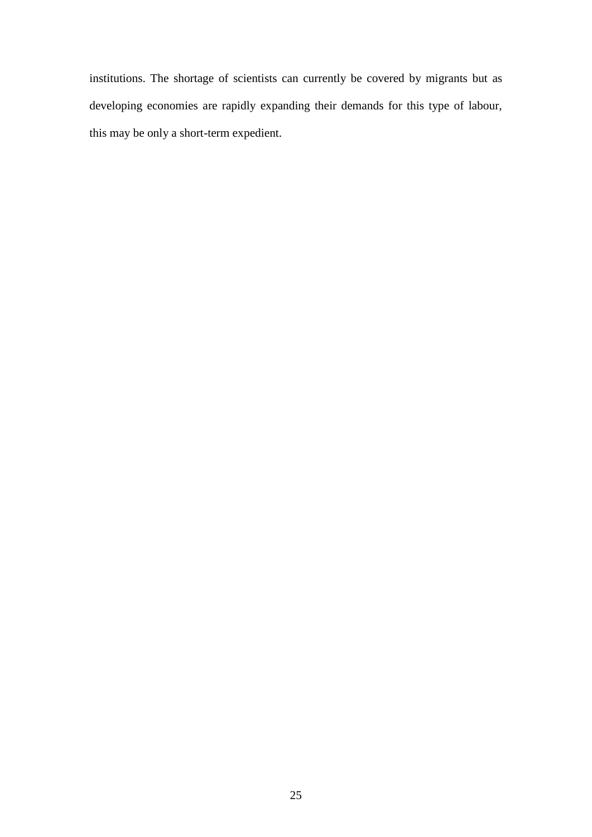institutions. The shortage of scientists can currently be covered by migrants but as developing economies are rapidly expanding their demands for this type of labour, this may be only a short-term expedient.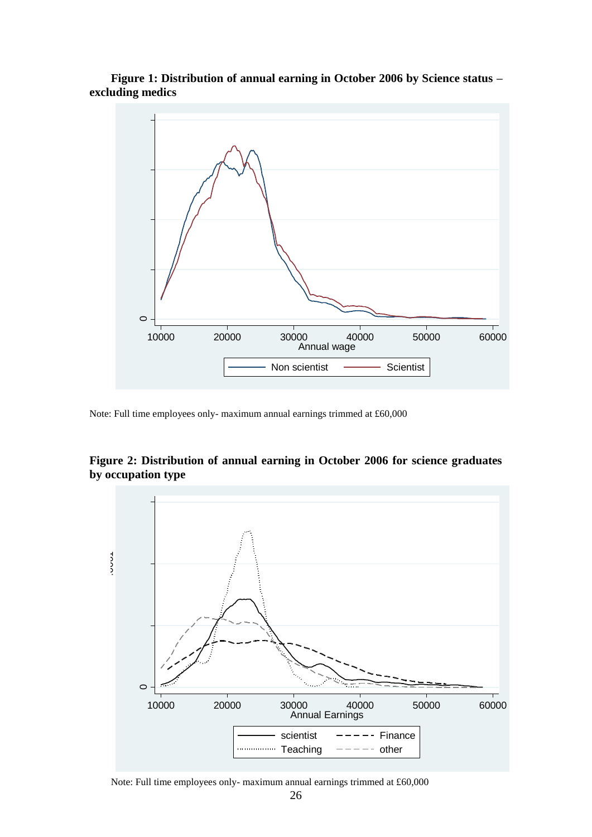**Figure 1: Distribution of annual earning in October 2006 by Science status – excluding medics**



Note: Full time employees only- maximum annual earnings trimmed at £60,000



**Figure 2: Distribution of annual earning in October 2006 for science graduates by occupation type**

Note: Full time employees only- maximum annual earnings trimmed at £60,000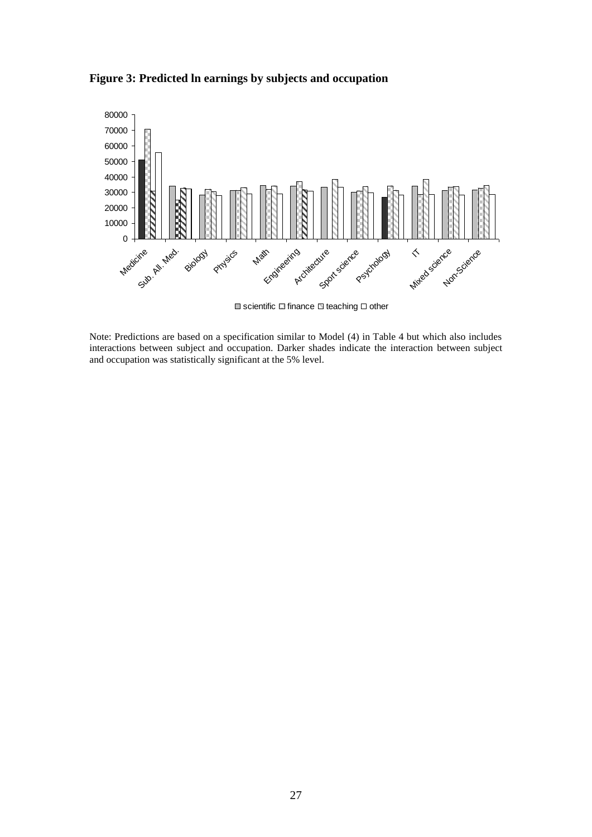**Figure 3: Predicted ln earnings by subjects and occupation**



 $\Box$  scientific  $\Box$  finance  $\Box$  teaching  $\Box$  other

Note: Predictions are based on a specification similar to Model (4) in Table 4 but which also includes interactions between subject and occupation. Darker shades indicate the interaction between subject and occupation was statistically significant at the 5% level.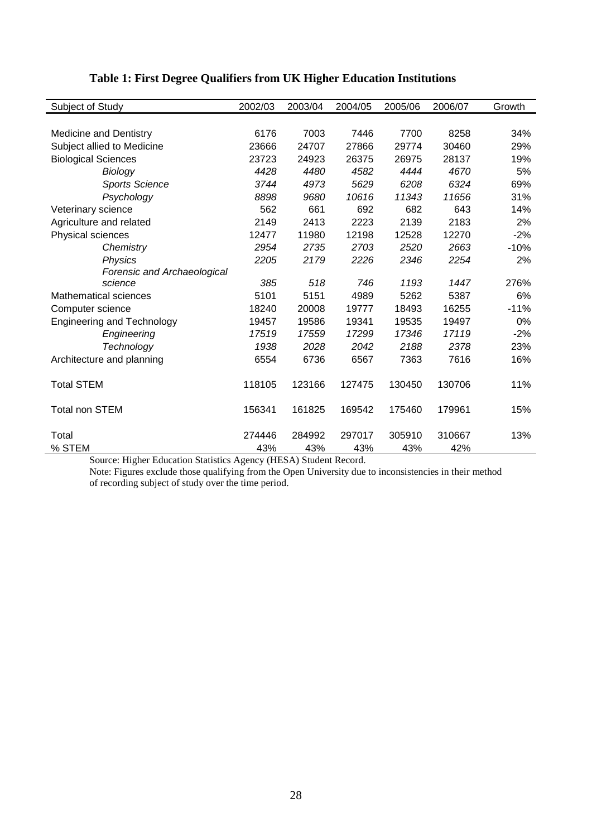| Subject of Study                  | 2002/03 | 2003/04 | 2004/05 | 2005/06 | 2006/07 | Growth |
|-----------------------------------|---------|---------|---------|---------|---------|--------|
|                                   |         |         |         |         |         |        |
| <b>Medicine and Dentistry</b>     | 6176    | 7003    | 7446    | 7700    | 8258    | 34%    |
| Subject allied to Medicine        | 23666   | 24707   | 27866   | 29774   | 30460   | 29%    |
| <b>Biological Sciences</b>        | 23723   | 24923   | 26375   | 26975   | 28137   | 19%    |
| Biology                           | 4428    | 4480    | 4582    | 4444    | 4670    | 5%     |
| <b>Sports Science</b>             | 3744    | 4973    | 5629    | 6208    | 6324    | 69%    |
| Psychology                        | 8898    | 9680    | 10616   | 11343   | 11656   | 31%    |
| Veterinary science                | 562     | 661     | 692     | 682     | 643     | 14%    |
| Agriculture and related           | 2149    | 2413    | 2223    | 2139    | 2183    | 2%     |
| Physical sciences                 | 12477   | 11980   | 12198   | 12528   | 12270   | $-2%$  |
| Chemistry                         | 2954    | 2735    | 2703    | 2520    | 2663    | $-10%$ |
| <b>Physics</b>                    | 2205    | 2179    | 2226    | 2346    | 2254    | 2%     |
| Forensic and Archaeological       |         |         |         |         |         |        |
| science                           | 385     | 518     | 746     | 1193    | 1447    | 276%   |
| <b>Mathematical sciences</b>      | 5101    | 5151    | 4989    | 5262    | 5387    | 6%     |
| Computer science                  | 18240   | 20008   | 19777   | 18493   | 16255   | $-11%$ |
| <b>Engineering and Technology</b> | 19457   | 19586   | 19341   | 19535   | 19497   | 0%     |
| Engineering                       | 17519   | 17559   | 17299   | 17346   | 17119   | $-2%$  |
| Technology                        | 1938    | 2028    | 2042    | 2188    | 2378    | 23%    |
| Architecture and planning         | 6554    | 6736    | 6567    | 7363    | 7616    | 16%    |
| <b>Total STEM</b>                 | 118105  | 123166  | 127475  | 130450  | 130706  | 11%    |
| <b>Total non STEM</b>             | 156341  | 161825  | 169542  | 175460  | 179961  | 15%    |
| Total                             | 274446  | 284992  | 297017  | 305910  | 310667  | 13%    |
| % STEM                            | 43%     | 43%     | 43%     | 43%     | 42%     |        |

## **Table 1: First Degree Qualifiers from UK Higher Education Institutions**

Source: Higher Education Statistics Agency (HESA) Student Record.

Note: Figures exclude those qualifying from the Open University due to inconsistencies in their method of recording subject of study over the time period.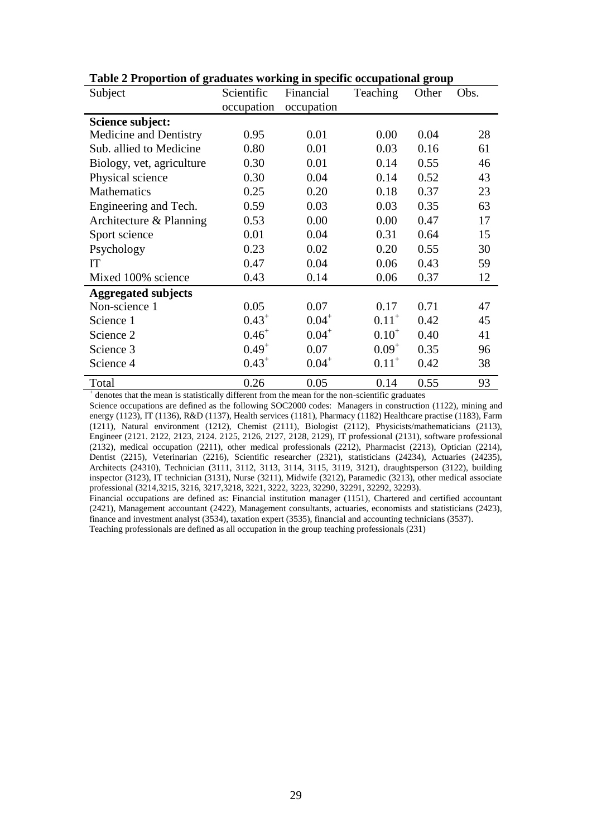| Subject                                                                                                                                                                                                                                                                                                                                                                                                                                                                                                     | Scientific  | Financial                                          | Teaching       | Other | Obs. |
|-------------------------------------------------------------------------------------------------------------------------------------------------------------------------------------------------------------------------------------------------------------------------------------------------------------------------------------------------------------------------------------------------------------------------------------------------------------------------------------------------------------|-------------|----------------------------------------------------|----------------|-------|------|
|                                                                                                                                                                                                                                                                                                                                                                                                                                                                                                             | occupation  | occupation                                         |                |       |      |
| Science subject:                                                                                                                                                                                                                                                                                                                                                                                                                                                                                            |             |                                                    |                |       |      |
| Medicine and Dentistry                                                                                                                                                                                                                                                                                                                                                                                                                                                                                      | 0.95        | 0.01                                               | 0.00           | 0.04  | 28   |
| Sub. allied to Medicine                                                                                                                                                                                                                                                                                                                                                                                                                                                                                     | 0.80        | 0.01                                               | 0.03           | 0.16  | 61   |
| Biology, vet, agriculture                                                                                                                                                                                                                                                                                                                                                                                                                                                                                   | 0.30        | 0.01                                               | 0.14           | 0.55  | 46   |
| Physical science                                                                                                                                                                                                                                                                                                                                                                                                                                                                                            | 0.30        | 0.04                                               | 0.14           | 0.52  | 43   |
| <b>Mathematics</b>                                                                                                                                                                                                                                                                                                                                                                                                                                                                                          | 0.25        | 0.20                                               | 0.18           | 0.37  | 23   |
| Engineering and Tech.                                                                                                                                                                                                                                                                                                                                                                                                                                                                                       | 0.59        | 0.03                                               | 0.03           | 0.35  | 63   |
| Architecture & Planning                                                                                                                                                                                                                                                                                                                                                                                                                                                                                     | 0.53        | 0.00                                               | 0.00           | 0.47  | 17   |
| Sport science                                                                                                                                                                                                                                                                                                                                                                                                                                                                                               | 0.01        | 0.04                                               | 0.31           | 0.64  | 15   |
| Psychology                                                                                                                                                                                                                                                                                                                                                                                                                                                                                                  | 0.23        | 0.02                                               | 0.20           | 0.55  | 30   |
| IT                                                                                                                                                                                                                                                                                                                                                                                                                                                                                                          | 0.47        | 0.04                                               | 0.06           | 0.43  | 59   |
| Mixed 100% science                                                                                                                                                                                                                                                                                                                                                                                                                                                                                          | 0.43        | 0.14                                               | 0.06           | 0.37  | 12   |
| <b>Aggregated subjects</b>                                                                                                                                                                                                                                                                                                                                                                                                                                                                                  |             |                                                    |                |       |      |
| Non-science 1                                                                                                                                                                                                                                                                                                                                                                                                                                                                                               | 0.05        | 0.07                                               | 0.17           | 0.71  | 47   |
| Science 1                                                                                                                                                                                                                                                                                                                                                                                                                                                                                                   | $0.43^+$    | $0.04^{+}$                                         | $0.11^{+}$     | 0.42  | 45   |
| Science 2                                                                                                                                                                                                                                                                                                                                                                                                                                                                                                   | $0.46^{+}$  | $0.04^{+}$                                         | $0.10^{+}$     | 0.40  | 41   |
| Science 3                                                                                                                                                                                                                                                                                                                                                                                                                                                                                                   | $0.49^{+}$  | 0.07                                               | $0.09^{+}$     | 0.35  | 96   |
| Science 4                                                                                                                                                                                                                                                                                                                                                                                                                                                                                                   | $0.43^{+}$  | $0.04^{+}$                                         | $0.11^{+}$     | 0.42  | 38   |
| Total<br>$\mathcal{L} = \mathcal{L} \mathcal{L} \mathcal{L} \mathcal{L} \mathcal{L} \mathcal{L} \mathcal{L} \mathcal{L} \mathcal{L} \mathcal{L} \mathcal{L} \mathcal{L} \mathcal{L} \mathcal{L} \mathcal{L} \mathcal{L} \mathcal{L} \mathcal{L} \mathcal{L} \mathcal{L} \mathcal{L} \mathcal{L} \mathcal{L} \mathcal{L} \mathcal{L} \mathcal{L} \mathcal{L} \mathcal{L} \mathcal{L} \mathcal{L} \mathcal{L} \mathcal{L} \mathcal{L} \mathcal{L} \mathcal{L} \mathcal$<br>بالترابيب والترامي والمروات التراح | 0.26<br>. C | 0.05<br>$-1$<br>$\mathcal{L}$ $\sim$ $\mathcal{L}$ | 0.14<br>۔ جو د | 0.55  | 93   |

**Table 2 Proportion of graduates working in specific occupational group**

<sup>+</sup> denotes that the mean is statistically different from the mean for the non-scientific graduates

Science occupations are defined as the following SOC2000 codes: Managers in construction (1122), mining and energy (1123), IT (1136), R&D (1137), Health services (1181), Pharmacy (1182) Healthcare practise (1183), Farm (1211), Natural environment (1212), Chemist (2111), Biologist (2112), Physicists/mathematicians (2113), Engineer (2121. 2122, 2123, 2124. 2125, 2126, 2127, 2128, 2129), IT professional (2131), software professional (2132), medical occupation (2211), other medical professionals (2212), Pharmacist (2213), Optician (2214), Dentist (2215), Veterinarian (2216), Scientific researcher (2321), statisticians (24234), Actuaries (24235), Architects (24310), Technician (3111, 3112, 3113, 3114, 3115, 3119, 3121), draughtsperson (3122), building inspector (3123), IT technician (3131), Nurse (3211), Midwife (3212), Paramedic (3213), other medical associate professional (3214,3215, 3216, 3217,3218, 3221, 3222, 3223, 32290, 32291, 32292, 32293).

Financial occupations are defined as: Financial institution manager (1151), Chartered and certified accountant (2421), Management accountant (2422), Management consultants, actuaries, economists and statisticians (2423), finance and investment analyst (3534), taxation expert (3535), financial and accounting technicians (3537). Teaching professionals are defined as all occupation in the group teaching professionals (231)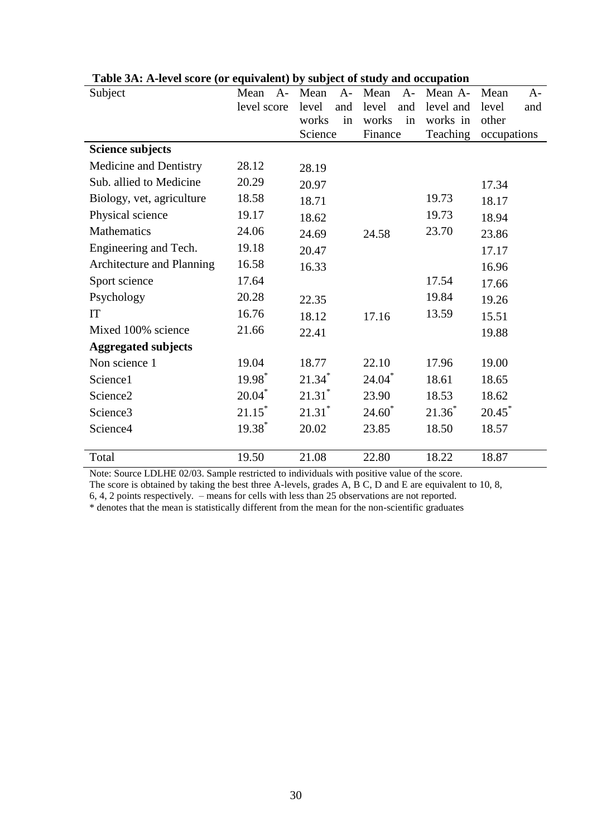| Subject                    | Mean<br>$A-$         | Mean<br>$A-$         | Mean<br>$A-$ | Mean A-   | $A-$<br>Mean |
|----------------------------|----------------------|----------------------|--------------|-----------|--------------|
|                            | level score          | level<br>and         | level<br>and | level and | level<br>and |
|                            |                      | works<br>in          | works<br>in  | works in  | other        |
|                            |                      | Science              | Finance      | Teaching  | occupations  |
| <b>Science subjects</b>    |                      |                      |              |           |              |
| Medicine and Dentistry     | 28.12                | 28.19                |              |           |              |
| Sub. allied to Medicine    | 20.29                | 20.97                |              |           | 17.34        |
| Biology, vet, agriculture  | 18.58                | 18.71                |              | 19.73     | 18.17        |
| Physical science           | 19.17                | 18.62                |              | 19.73     | 18.94        |
| <b>Mathematics</b>         | 24.06                | 24.69                | 24.58        | 23.70     | 23.86        |
| Engineering and Tech.      | 19.18                | 20.47                |              |           | 17.17        |
| Architecture and Planning  | 16.58                | 16.33                |              |           | 16.96        |
| Sport science              | 17.64                |                      |              | 17.54     | 17.66        |
| Psychology                 | 20.28                | 22.35                |              | 19.84     | 19.26        |
| IT                         | 16.76                | 18.12                | 17.16        | 13.59     | 15.51        |
| Mixed 100% science         | 21.66                | 22.41                |              |           | 19.88        |
| <b>Aggregated subjects</b> |                      |                      |              |           |              |
| Non science 1              | 19.04                | 18.77                | 22.10        | 17.96     | 19.00        |
| Science1                   | 19.98*               | $21.34*$             | $24.04*$     | 18.61     | 18.65        |
| Science <sub>2</sub>       | $20.04$ <sup>*</sup> | $21.31$ <sup>*</sup> | 23.90        | 18.53     | 18.62        |
| Science <sub>3</sub>       | $21.15*$             | $21.31$ <sup>*</sup> | $24.60*$     | $21.36^*$ | $20.45^*$    |
| Science4                   | 19.38 <sup>*</sup>   | 20.02                | 23.85        | 18.50     | 18.57        |
|                            |                      |                      |              |           |              |
| Total                      | 19.50                | 21.08                | 22.80        | 18.22     | 18.87        |

#### **Table 3A: A-level score (or equivalent) by subject of study and occupation**

Note: Source LDLHE 02/03. Sample restricted to individuals with positive value of the score.

The score is obtained by taking the best three A-levels, grades A, B C, D and E are equivalent to 10, 8,

6, 4, 2 points respectively. – means for cells with less than 25 observations are not reported.

\* denotes that the mean is statistically different from the mean for the non-scientific graduates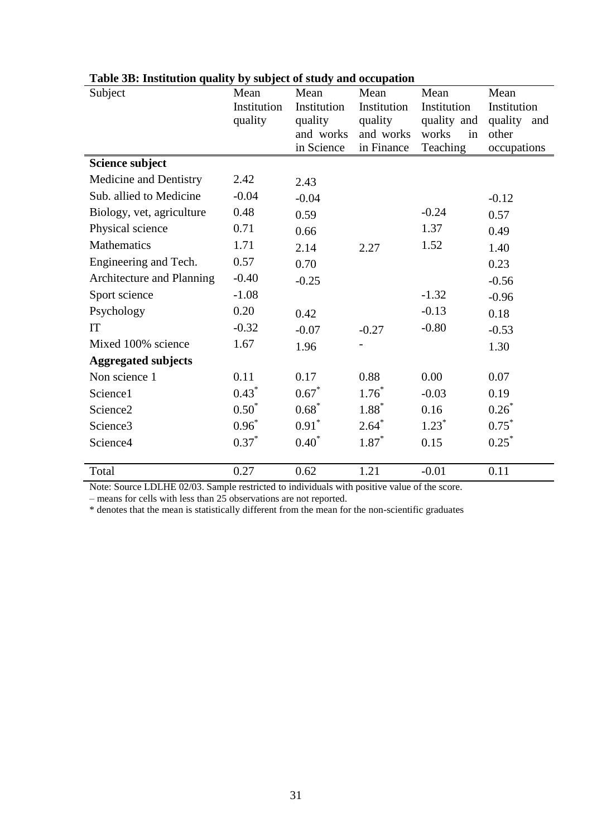| Subject                    | Mean<br>Institution | Mean<br>Institution     | Mean<br>Institution     | Mean<br>Institution     | Mean<br>Institution  |
|----------------------------|---------------------|-------------------------|-------------------------|-------------------------|----------------------|
|                            | quality             | quality                 | quality                 | quality and             | quality<br>and       |
|                            |                     | and works<br>in Science | and works<br>in Finance | works<br>in<br>Teaching | other<br>occupations |
| Science subject            |                     |                         |                         |                         |                      |
|                            |                     |                         |                         |                         |                      |
| Medicine and Dentistry     | 2.42                | 2.43                    |                         |                         |                      |
| Sub. allied to Medicine    | $-0.04$             | $-0.04$                 |                         |                         | $-0.12$              |
| Biology, vet, agriculture  | 0.48                | 0.59                    |                         | $-0.24$                 | 0.57                 |
| Physical science           | 0.71                | 0.66                    |                         | 1.37                    | 0.49                 |
| <b>Mathematics</b>         | 1.71                | 2.14                    | 2.27                    | 1.52                    | 1.40                 |
| Engineering and Tech.      | 0.57                | 0.70                    |                         |                         | 0.23                 |
| Architecture and Planning  | $-0.40$             | $-0.25$                 |                         |                         | $-0.56$              |
| Sport science              | $-1.08$             |                         |                         | $-1.32$                 | $-0.96$              |
| Psychology                 | 0.20                | 0.42                    |                         | $-0.13$                 | 0.18                 |
| IT                         | $-0.32$             | $-0.07$                 | $-0.27$                 | $-0.80$                 | $-0.53$              |
| Mixed 100% science         | 1.67                | 1.96                    |                         |                         | 1.30                 |
| <b>Aggregated subjects</b> |                     |                         |                         |                         |                      |
| Non science 1              | 0.11                | 0.17                    | 0.88                    | 0.00                    | 0.07                 |
| Science1                   | $0.43*$             | $0.67*$                 | $1.76*$                 | $-0.03$                 | 0.19                 |
| Science <sub>2</sub>       | $0.50^*$            | $0.68*$                 | $1.88*$                 | 0.16                    | $0.26*$              |
| Science <sub>3</sub>       | $0.96*$             | $0.91^*$                | $2.64*$                 | $1.23*$                 | $0.75^*$             |
| Science4                   | $0.37*$             | $0.40*$                 | $1.87*$                 | 0.15                    | $0.25*$              |
|                            |                     |                         |                         |                         |                      |
| Total                      | 0.27                | 0.62                    | 1.21                    | $-0.01$                 | 0.11                 |

## **Table 3B: Institution quality by subject of study and occupation**

Note: Source LDLHE 02/03. Sample restricted to individuals with positive value of the score.

– means for cells with less than 25 observations are not reported.

\* denotes that the mean is statistically different from the mean for the non-scientific graduates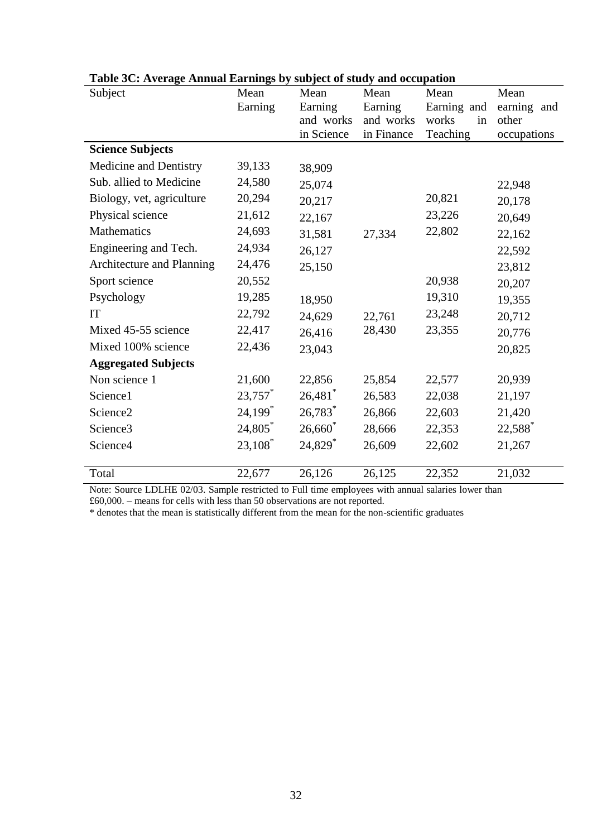| Subject                    | Mean<br>Earning       | Mean<br>Earning         | Mean<br>Earning         | Mean<br>Earning and     | Mean<br>earning and  |
|----------------------------|-----------------------|-------------------------|-------------------------|-------------------------|----------------------|
|                            |                       | and works<br>in Science | and works<br>in Finance | works<br>in<br>Teaching | other<br>occupations |
| <b>Science Subjects</b>    |                       |                         |                         |                         |                      |
| Medicine and Dentistry     | 39,133                | 38,909                  |                         |                         |                      |
| Sub. allied to Medicine    | 24,580                | 25,074                  |                         |                         | 22,948               |
| Biology, vet, agriculture  | 20,294                | 20,217                  |                         | 20,821                  | 20,178               |
| Physical science           | 21,612                | 22,167                  |                         | 23,226                  | 20,649               |
| Mathematics                | 24,693                | 31,581                  | 27,334                  | 22,802                  | 22,162               |
| Engineering and Tech.      | 24,934                | 26,127                  |                         |                         | 22,592               |
| Architecture and Planning  | 24,476                | 25,150                  |                         |                         | 23,812               |
| Sport science              | 20,552                |                         |                         | 20,938                  | 20,207               |
| Psychology                 | 19,285                | 18,950                  |                         | 19,310                  | 19,355               |
| IT                         | 22,792                | 24,629                  | 22,761                  | 23,248                  | 20,712               |
| Mixed 45-55 science        | 22,417                | 26,416                  | 28,430                  | 23,355                  | 20,776               |
| Mixed 100% science         | 22,436                | 23,043                  |                         |                         | 20,825               |
| <b>Aggregated Subjects</b> |                       |                         |                         |                         |                      |
| Non science 1              | 21,600                | 22,856                  | 25,854                  | 22,577                  | 20,939               |
| Science1                   | 23,757                | 26,481                  | 26,583                  | 22,038                  | 21,197               |
| Science <sub>2</sub>       | $24,199$ <sup>*</sup> | $26,783$ <sup>*</sup>   | 26,866                  | 22,603                  | 21,420               |
| Science3                   | 24,805*               | $26,660^*$              | 28,666                  | 22,353                  | 22,588*              |
| Science4                   | $23,108^*$            | 24,829 <sup>*</sup>     | 26,609                  | 22,602                  | 21,267               |
|                            |                       |                         |                         |                         |                      |
| Total                      | 22,677                | 26,126                  | 26,125                  | 22,352                  | 21,032               |

### **Table 3C: Average Annual Earnings by subject of study and occupation**

Note: Source LDLHE 02/03. Sample restricted to Full time employees with annual salaries lower than £60,000. – means for cells with less than 50 observations are not reported.

\* denotes that the mean is statistically different from the mean for the non-scientific graduates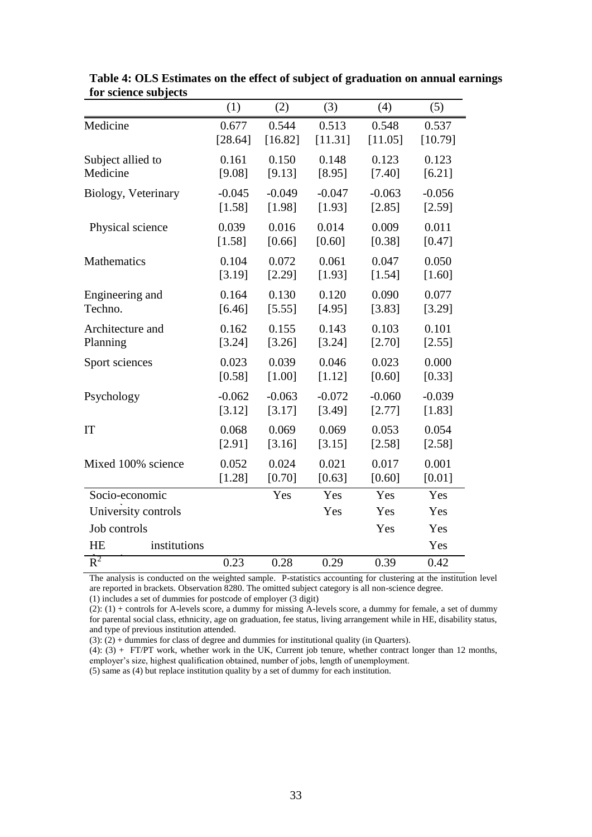|                           | (1)      | (2)      | (3)      | (4)      | (5)      |
|---------------------------|----------|----------|----------|----------|----------|
| Medicine                  | 0.677    | 0.544    | 0.513    | 0.548    | 0.537    |
|                           | [28.64]  | [16.82]  | [11.31]  | [11.05]  | [10.79]  |
| Subject allied to         | 0.161    | 0.150    | 0.148    | 0.123    | 0.123    |
| Medicine                  | [9.08]   | [9.13]   | [8.95]   | [7.40]   | [6.21]   |
| Biology, Veterinary       | $-0.045$ | $-0.049$ | $-0.047$ | $-0.063$ | $-0.056$ |
|                           | [1.58]   | [1.98]   | [1.93]   | [2.85]   | [2.59]   |
| Physical science          | 0.039    | 0.016    | 0.014    | 0.009    | 0.011    |
|                           | [1.58]   | [0.66]   | [0.60]   | [0.38]   | [0.47]   |
| Mathematics               | 0.104    | 0.072    | 0.061    | 0.047    | 0.050    |
|                           | [3.19]   | [2.29]   | [1.93]   | [1.54]   | [1.60]   |
| Engineering and           | 0.164    | 0.130    | 0.120    | 0.090    | 0.077    |
| Techno.                   | [6.46]   | [5.55]   | [4.95]   | [3.83]   | [3.29]   |
| Architecture and          | 0.162    | 0.155    | 0.143    | 0.103    | 0.101    |
| Planning                  | [3.24]   | [3.26]   | [3.24]   | [2.70]   | [2.55]   |
| Sport sciences            | 0.023    | 0.039    | 0.046    | 0.023    | 0.000    |
|                           | [0.58]   | [1.00]   | [1.12]   | [0.60]   | [0.33]   |
| Psychology                | $-0.062$ | $-0.063$ | $-0.072$ | $-0.060$ | $-0.039$ |
|                           | [3.12]   | [3.17]   | [3.49]   | [2.77]   | [1.83]   |
| IT                        | 0.068    | 0.069    | 0.069    | 0.053    | 0.054    |
|                           | [2.91]   | [3.16]   | [3.15]   | [2.58]   | [2.58]   |
| Mixed 100% science        | 0.052    | 0.024    | 0.021    | 0.017    | 0.001    |
|                           | [1.28]   | [0.70]   | [0.63]   | [0.60]   | [0.01]   |
| Socio-economic            |          | Yes      | Yes      | Yes      | Yes      |
| University controls       |          |          | Yes      | Yes      | Yes      |
| Job controls              |          |          |          | Yes      | Yes      |
| <b>HE</b><br>institutions |          |          |          |          | Yes      |
| $R^2$                     | 0.23     | 0.28     | 0.29     | 0.39     | 0.42     |

**Table 4: OLS Estimates on the effect of subject of graduation on annual earnings for science subjects**

The analysis is conducted on the weighted sample. P-statistics accounting for clustering at the institution level are reported in brackets. Observation 8280. The omitted subject category is all non-science degree. (1) includes a set of dummies for postcode of employer (3 digit)

 $(2)$ :  $(1)$  + controls for A-levels score, a dummy for missing A-levels score, a dummy for female, a set of dummy for parental social class, ethnicity, age on graduation, fee status, living arrangement while in HE, disability status, and type of previous institution attended.

 $(3)$ :  $(2)$  + dummies for class of degree and dummies for institutional quality (in Quarters).

 $(4)$ :  $(3)$  + FT/PT work, whether work in the UK, Current job tenure, whether contract longer than 12 months, employer's size, highest qualification obtained, number of jobs, length of unemployment.

(5) same as (4) but replace institution quality by a set of dummy for each institution.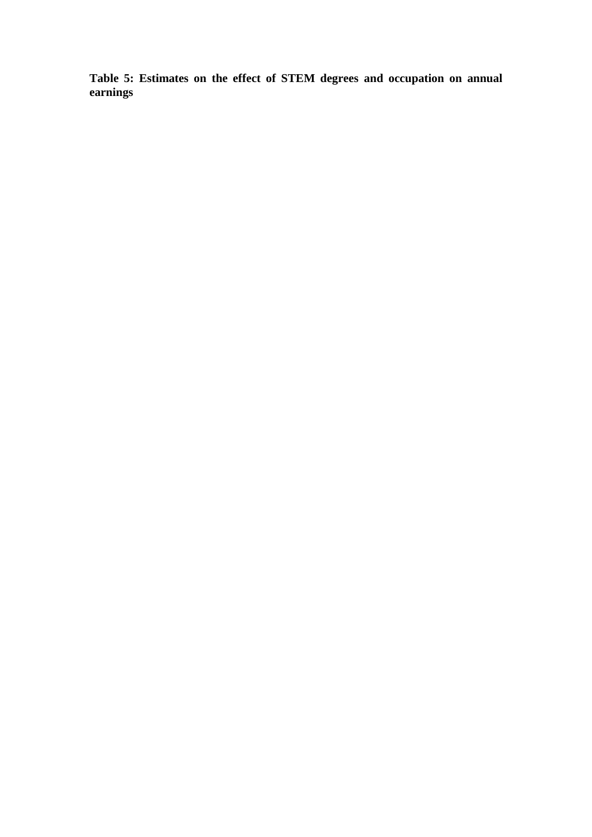**Table 5: Estimates on the effect of STEM degrees and occupation on annual earnings**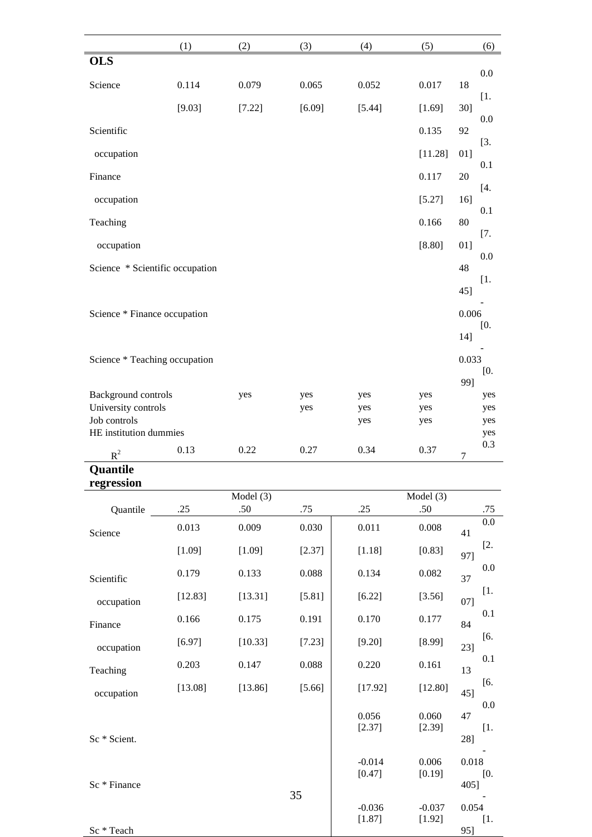|                                     | (1)     | (2)       | (3)    | (4)                | (5)                | (6)             |
|-------------------------------------|---------|-----------|--------|--------------------|--------------------|-----------------|
| <b>OLS</b>                          |         |           |        |                    |                    |                 |
| Science                             | 0.114   | 0.079     | 0.065  | 0.052              | 0.017              | $0.0\,$<br>18   |
|                                     | [9.03]  | [7.22]    | [6.09] | [5.44]             | [1.69]             | $[1.$<br>$30$ ] |
| Scientific                          |         |           |        |                    | 0.135              | 0.0<br>92       |
| occupation                          |         |           |        |                    | [11.28]            | [3.<br>01]      |
| Finance                             |         |           |        |                    | 0.117              | 0.1<br>20       |
| occupation                          |         |           |        |                    | [5.27]             | $[4.$<br>16]    |
| Teaching                            |         |           |        |                    | 0.166              | 0.1<br>80       |
| occupation                          |         |           |        |                    | [8.80]             | $[7.$<br>01]    |
| Science * Scientific occupation     |         |           |        |                    |                    | $0.0\,$<br>48   |
|                                     |         |           |        |                    |                    | [1.<br>45]      |
| Science * Finance occupation        |         |           |        |                    |                    | 0.006           |
|                                     |         |           |        |                    |                    | [0.<br>14]      |
| Science * Teaching occupation       |         |           |        |                    |                    | 0.033           |
|                                     |         |           |        |                    |                    | [0.<br>99]      |
| Background controls                 |         | yes       | yes    | yes                | yes                | yes             |
| University controls<br>Job controls |         |           | yes    | yes<br>yes         | yes<br>yes         | yes<br>yes      |
| HE institution dummies              |         |           |        |                    |                    | yes             |
| $R^2$                               | 0.13    | 0.22      | 0.27   | 0.34               | 0.37               | 0.3<br>7        |
| Quantile                            |         |           |        |                    |                    |                 |
| regression                          |         | Model (3) |        |                    | Model (3)          |                 |
| Quantile                            | .25     | .50       | .75    | .25                | .50                | .75             |
| Science                             | 0.013   | 0.009     | 0.030  | 0.011              | 0.008              | 0.0<br>41       |
|                                     | [1.09]  | [1.09]    | [2.37] | [1.18]             | [0.83]             | $[2.]$<br>97]   |
| Scientific                          | 0.179   | 0.133     | 0.088  | 0.134              | 0.082              | 0.0<br>37       |
| occupation                          | [12.83] | [13.31]   | [5.81] | [6.22]             | [3.56]             | $[1.$<br>07]    |
| Finance                             | 0.166   | 0.175     | 0.191  | 0.170              | 0.177              | 0.1<br>84       |
| occupation                          | [6.97]  | [10.33]   | [7.23] | [9.20]             | [8.99]             | [6.<br>23]      |
| Teaching                            | 0.203   | 0.147     | 0.088  | 0.220              | 0.161              | 0.1<br>13       |
| occupation                          | [13.08] | [13.86]   | [5.66] | [17.92]            | [12.80]            | [6.<br>$45$ ]   |
|                                     |         |           |        | 0.056              | 0.060              | 0.0<br>47       |
| Sc * Scient.                        |         |           |        | [2.37]             | [2.39]             | [1.<br>28]      |
|                                     |         |           |        | $-0.014$           | 0.006              | 0.018           |
| Sc * Finance                        |         |           |        | [0.47]             | [0.19]             | [0.             |
|                                     |         |           | 35     |                    |                    | 405]            |
|                                     |         |           |        | $-0.036$<br>[1.87] | $-0.037$<br>[1.92] | 0.054<br>[1.    |
| Sc * Teach                          |         |           |        |                    |                    | 95]             |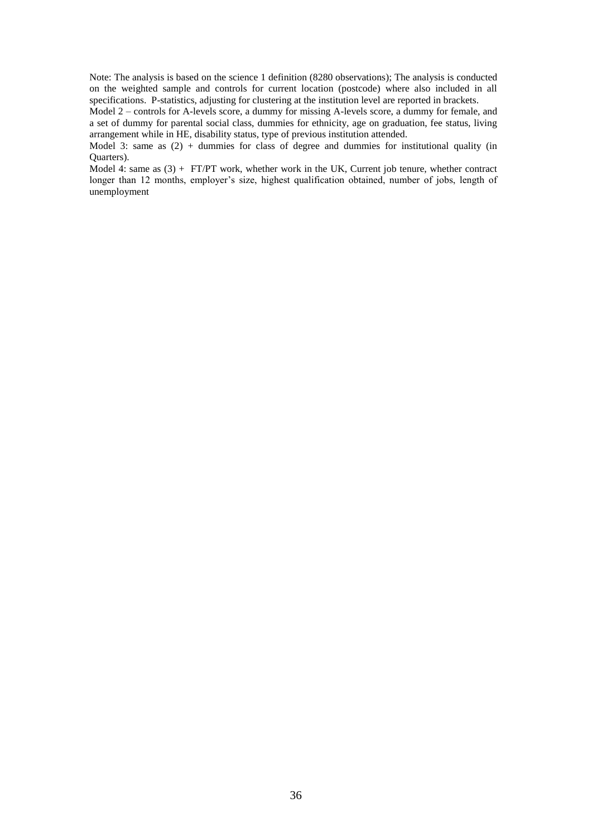Note: The analysis is based on the science 1 definition (8280 observations); The analysis is conducted on the weighted sample and controls for current location (postcode) where also included in all specifications. P-statistics, adjusting for clustering at the institution level are reported in brackets.

Model 2 – controls for A-levels score, a dummy for missing A-levels score, a dummy for female, and a set of dummy for parental social class, dummies for ethnicity, age on graduation, fee status, living arrangement while in HE, disability status, type of previous institution attended.

Model 3: same as (2) + dummies for class of degree and dummies for institutional quality (in Quarters).

Model 4: same as  $(3)$  + FT/PT work, whether work in the UK, Current job tenure, whether contract longer than 12 months, employer's size, highest qualification obtained, number of jobs, length of unemployment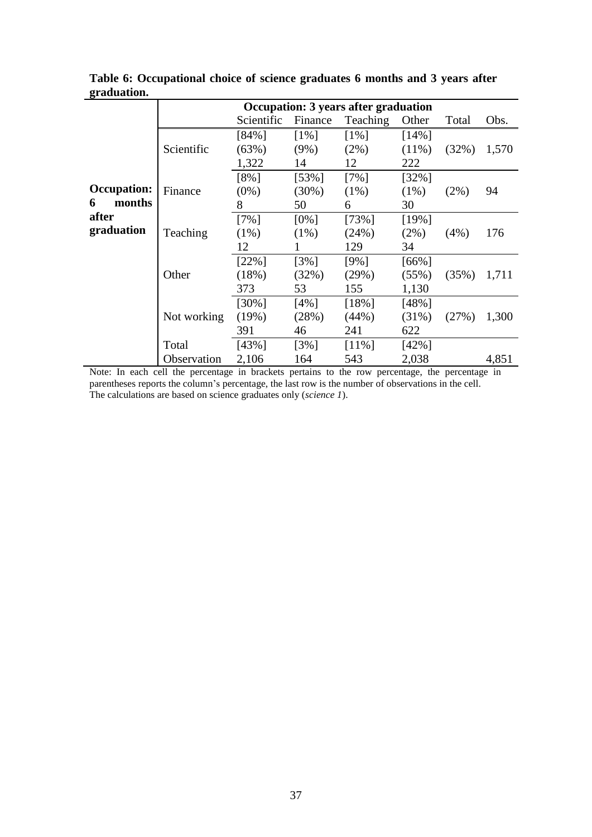|                    |             | Occupation: 3 years after graduation |          |          |          |         |       |
|--------------------|-------------|--------------------------------------|----------|----------|----------|---------|-------|
|                    |             | Scientific                           | Finance  | Teaching | Other    | Total   | Obs.  |
|                    |             | [84%]                                | $[1\%]$  | $[1\%]$  | $[14\%]$ |         |       |
|                    | Scientific  | (63%)                                | $(9\%)$  | $(2\%)$  | $(11\%)$ | (32%)   | 1,570 |
|                    |             | 1,322                                | 14       | 12       | 222      |         |       |
|                    |             | [8%]                                 | $[53\%]$ | $[7\%]$  | $[32\%]$ |         |       |
| <b>Occupation:</b> | Finance     | $(0\%)$                              | $(30\%)$ | $(1\%)$  | $(1\%)$  | $(2\%)$ | 94    |
| months<br>6        |             | 8                                    | 50       | 6        | 30       |         |       |
| after              |             | $[7\%]$                              | $[0\%]$  | $[73\%]$ | [19%]    |         |       |
| graduation         | Teaching    | $(1\%)$                              | $(1\%)$  | (24%)    | $(2\%)$  | (4%)    | 176   |
|                    |             | 12                                   |          | 129      | 34       |         |       |
|                    |             | $[22\%]$                             | $[3\%]$  | $[9\%]$  | $[66\%]$ |         |       |
|                    | Other       | (18%)                                | (32%)    | (29%)    | (55%)    | (35%)   | 1,711 |
|                    |             | 373                                  | 53       | 155      | 1,130    |         |       |
|                    |             | $[30\%]$                             | $[4\%]$  | $[18\%]$ | [48%]    |         |       |
|                    | Not working | (19%)                                | (28%)    | (44%)    | $(31\%)$ | (27%)   | 1,300 |
|                    |             | 391                                  | 46       | 241      | 622      |         |       |
|                    | Total       | [43%]                                | $[3\%]$  | $[11\%]$ | $[42\%]$ |         |       |
|                    | Observation | 2,106                                | 164      | 543      | 2,038    |         | 4,851 |

**Table 6: Occupational choice of science graduates 6 months and 3 years after graduation.** 

Note: In each cell the percentage in brackets pertains to the row percentage, the percentage in parentheses reports the column's percentage, the last row is the number of observations in the cell. The calculations are based on science graduates only (*science 1*).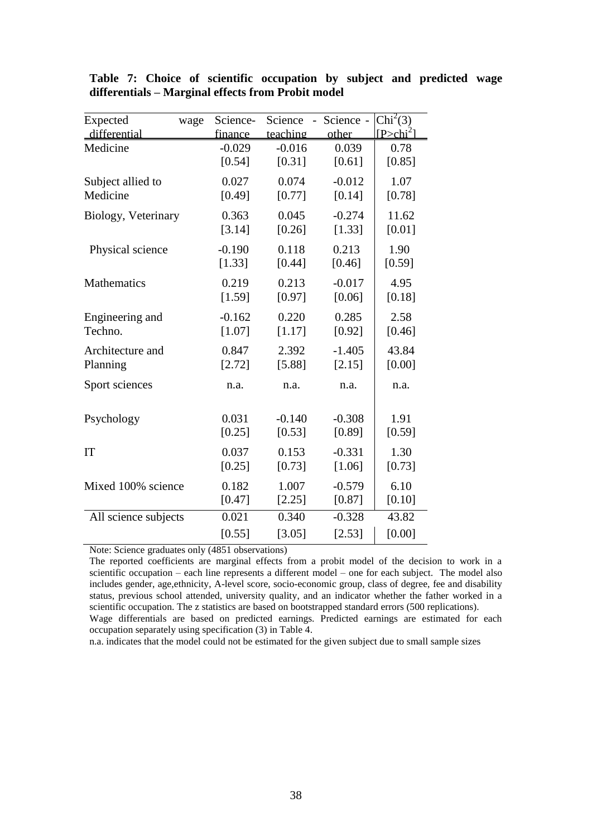| Expected             | wage | Science- | Science  | - Science - | Chi <sup>2</sup> (3) |
|----------------------|------|----------|----------|-------------|----------------------|
| differential         |      | finance  | teaching | other       | $IP > chi^2$         |
| Medicine             |      | $-0.029$ | $-0.016$ | 0.039       | 0.78                 |
|                      |      | [0.54]   | [0.31]   | [0.61]      | [0.85]               |
| Subject allied to    |      | 0.027    | 0.074    | $-0.012$    | 1.07                 |
| Medicine             |      | [0.49]   | [0.77]   | [0.14]      | [0.78]               |
| Biology, Veterinary  |      | 0.363    | 0.045    | $-0.274$    | 11.62                |
|                      |      | [3.14]   | [0.26]   | [1.33]      | [0.01]               |
| Physical science     |      | $-0.190$ | 0.118    | 0.213       | 1.90                 |
|                      |      | [1.33]   | [0.44]   | [0.46]      | [0.59]               |
| Mathematics          |      | 0.219    | 0.213    | $-0.017$    | 4.95                 |
|                      |      | [1.59]   | [0.97]   | [0.06]      | [0.18]               |
| Engineering and      |      | $-0.162$ | 0.220    | 0.285       | 2.58                 |
| Techno.              |      | [1.07]   | [1.17]   | [0.92]      | [0.46]               |
| Architecture and     |      | 0.847    | 2.392    | $-1.405$    | 43.84                |
| Planning             |      | [2.72]   | [5.88]   | [2.15]      | [0.00]               |
| Sport sciences       |      | n.a.     | n.a.     | n.a.        | n.a.                 |
| Psychology           |      | 0.031    | $-0.140$ | $-0.308$    | 1.91                 |
|                      |      | $[0.25]$ | [0.53]   | [0.89]      | [0.59]               |
| <b>IT</b>            |      | 0.037    | 0.153    | $-0.331$    | 1.30                 |
|                      |      | [0.25]   | [0.73]   | [1.06]      | [0.73]               |
| Mixed 100% science   |      | 0.182    | 1.007    | $-0.579$    | 6.10                 |
|                      |      | [0.47]   | [2.25]   | [0.87]      | [0.10]               |
| All science subjects |      | 0.021    | 0.340    | $-0.328$    | 43.82                |
|                      |      | [0.55]   | [3.05]   | [2.53]      | [0.00]               |

**Table 7: Choice of scientific occupation by subject and predicted wage differentials – Marginal effects from Probit model**

Note: Science graduates only (4851 observations)

The reported coefficients are marginal effects from a probit model of the decision to work in a scientific occupation – each line represents a different model – one for each subject. The model also includes gender, age,ethnicity, A-level score, socio-economic group, class of degree, fee and disability status, previous school attended, university quality, and an indicator whether the father worked in a scientific occupation. The z statistics are based on bootstrapped standard errors (500 replications). Wage differentials are based on predicted earnings. Predicted earnings are estimated for each occupation separately using specification (3) in Table 4.

n.a. indicates that the model could not be estimated for the given subject due to small sample sizes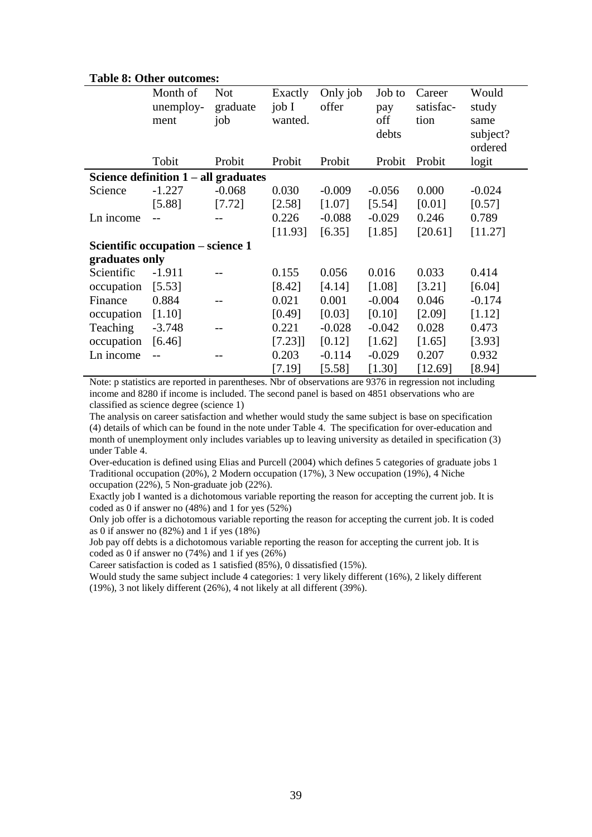|                | таме от одног одеонима                        |                        |                    |                   |               |                     |                |
|----------------|-----------------------------------------------|------------------------|--------------------|-------------------|---------------|---------------------|----------------|
|                | Month of<br>unemploy-                         | <b>Not</b><br>graduate | Exactly<br>job $I$ | Only job<br>offer | Job to<br>pay | Career<br>satisfac- | Would<br>study |
|                | ment                                          | job                    | wanted.            |                   | off           | tion                | same           |
|                |                                               |                        |                    |                   | debts         |                     | subject?       |
|                |                                               |                        |                    |                   |               |                     | ordered        |
|                | Tobit                                         | Probit                 | Probit             | Probit            | Probit        | Probit              | logit          |
|                | Science definition $1 - \text{all}$ graduates |                        |                    |                   |               |                     |                |
| Science        | $-1.227$                                      | $-0.068$               | 0.030              | $-0.009$          | $-0.056$      | 0.000               | $-0.024$       |
|                | [5.88]                                        | [7.72]                 | [2.58]             | [1.07]            | [5.54]        | [0.01]              | [0.57]         |
| Ln income      |                                               |                        | 0.226              | $-0.088$          | $-0.029$      | 0.246               | 0.789          |
|                |                                               |                        | [11.93]            | [6.35]            | [1.85]        | [20.61]             | [11.27]        |
|                | Scientific occupation – science 1             |                        |                    |                   |               |                     |                |
| graduates only |                                               |                        |                    |                   |               |                     |                |
| Scientific     | $-1.911$                                      |                        | 0.155              | 0.056             | 0.016         | 0.033               | 0.414          |
| occupation     | [5.53]                                        |                        | [8.42]             | [4.14]            | [1.08]        | [3.21]              | [6.04]         |
| Finance        | 0.884                                         |                        | 0.021              | 0.001             | $-0.004$      | 0.046               | $-0.174$       |
| occupation     | [1.10]                                        |                        | [0.49]             | [0.03]            | [0.10]        | [2.09]              | [1.12]         |
| Teaching       | $-3.748$                                      |                        | 0.221              | $-0.028$          | $-0.042$      | 0.028               | 0.473          |
| occupation     | [6.46]                                        |                        | [7.23]             | [0.12]            | [1.62]        | [1.65]              | [3.93]         |
| Ln income      |                                               |                        | 0.203              | $-0.114$          | $-0.029$      | 0.207               | 0.932          |
|                |                                               |                        | [7.19]             | [5.58]            | [1.30]        | [12.69]             | [8.94]         |

#### **Table 8: Other outcomes:**

Note: p statistics are reported in parentheses. Nbr of observations are 9376 in regression not including income and 8280 if income is included. The second panel is based on 4851 observations who are classified as science degree (science 1)

The analysis on career satisfaction and whether would study the same subject is base on specification (4) details of which can be found in the note under Table 4. The specification for over-education and month of unemployment only includes variables up to leaving university as detailed in specification (3) under Table 4.

Over-education is defined using Elias and Purcell (2004) which defines 5 categories of graduate jobs 1 Traditional occupation (20%), 2 Modern occupation (17%), 3 New occupation (19%), 4 Niche occupation (22%), 5 Non-graduate job (22%).

Exactly job I wanted is a dichotomous variable reporting the reason for accepting the current job. It is coded as 0 if answer no (48%) and 1 for yes (52%)

Only job offer is a dichotomous variable reporting the reason for accepting the current job. It is coded as 0 if answer no (82%) and 1 if yes (18%)

Job pay off debts is a dichotomous variable reporting the reason for accepting the current job. It is coded as 0 if answer no (74%) and 1 if yes (26%)

Career satisfaction is coded as 1 satisfied (85%), 0 dissatisfied (15%).

Would study the same subject include 4 categories: 1 very likely different (16%), 2 likely different (19%), 3 not likely different (26%), 4 not likely at all different (39%).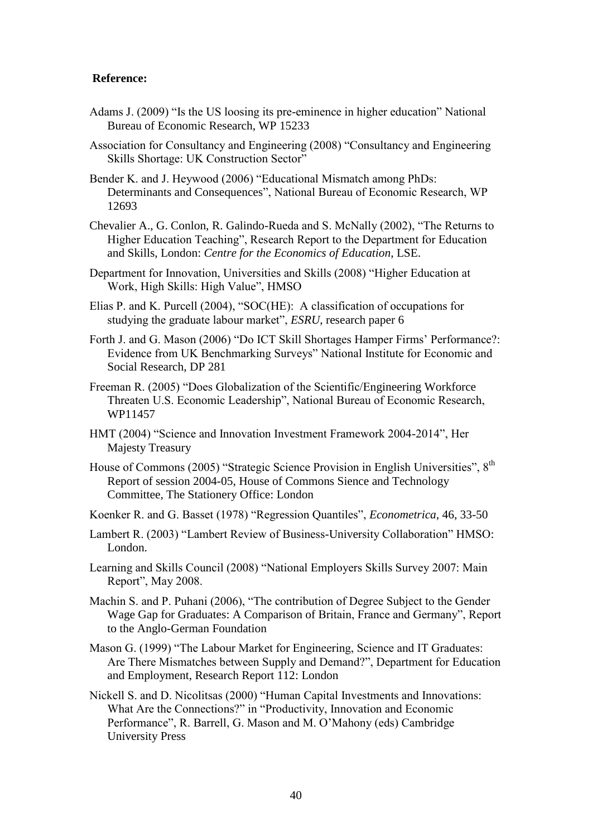#### **Reference:**

- Adams J. (2009) "Is the US loosing its pre-eminence in higher education" National Bureau of Economic Research, WP 15233
- Association for Consultancy and Engineering (2008) "Consultancy and Engineering Skills Shortage: UK Construction Sector"
- Bender K. and J. Heywood (2006) "Educational Mismatch among PhDs: Determinants and Consequences", National Bureau of Economic Research, WP 12693
- Chevalier A., G. Conlon, R. Galindo-Rueda and S. McNally (2002), "The Returns to Higher Education Teaching", Research Report to the Department for Education and Skills, London: *Centre for the Economics of Education*, LSE.
- Department for Innovation, Universities and Skills (2008) "Higher Education at Work, High Skills: High Value", HMSO
- Elias P. and K. Purcell (2004), "SOC(HE): A classification of occupations for studying the graduate labour market", *ESRU*, research paper 6
- Forth J. and G. Mason (2006) "Do ICT Skill Shortages Hamper Firms' Performance?: Evidence from UK Benchmarking Surveys" National Institute for Economic and Social Research, DP 281
- Freeman R. (2005) "Does Globalization of the Scientific/Engineering Workforce Threaten U.S. Economic Leadership", National Bureau of Economic Research, WP11457
- HMT (2004) "Science and Innovation Investment Framework 2004-2014", Her Majesty Treasury
- House of Commons (2005) "Strategic Science Provision in English Universities", 8<sup>th</sup> Report of session 2004-05, House of Commons Sience and Technology Committee, The Stationery Office: London
- Koenker R. and G. Basset (1978) "Regression Quantiles", *Econometrica*, 46, 33-50
- Lambert R. (2003) "Lambert Review of Business-University Collaboration" HMSO: London.
- Learning and Skills Council (2008) "National Employers Skills Survey 2007: Main Report", May 2008.
- Machin S. and P. Puhani (2006), "The contribution of Degree Subject to the Gender Wage Gap for Graduates: A Comparison of Britain, France and Germany", Report to the Anglo-German Foundation
- Mason G. (1999) "The Labour Market for Engineering, Science and IT Graduates: Are There Mismatches between Supply and Demand?", Department for Education and Employment, Research Report 112: London
- Nickell S. and D. Nicolitsas (2000) "Human Capital Investments and Innovations: What Are the Connections?" in "Productivity, Innovation and Economic Performance", R. Barrell, G. Mason and M. O'Mahony (eds) Cambridge University Press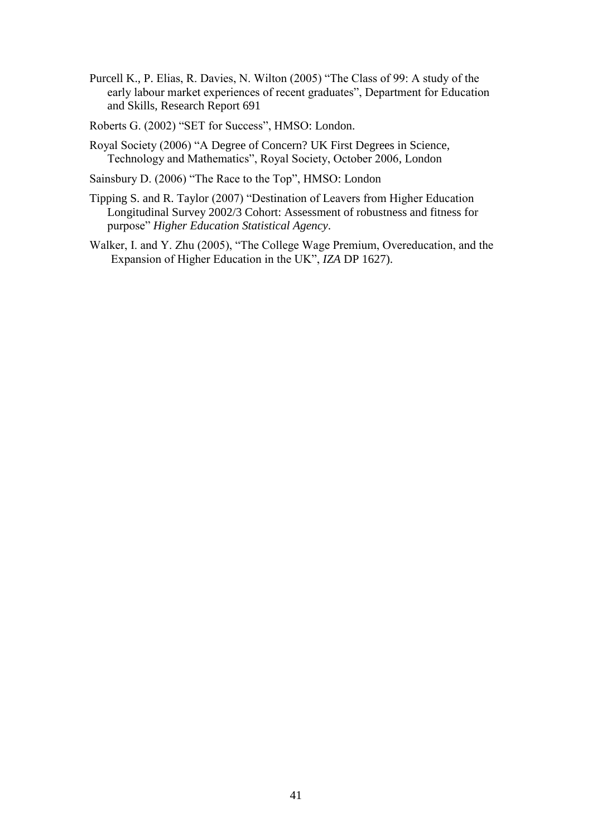Purcell K., P. Elias, R. Davies, N. Wilton (2005) "The Class of 99: A study of the early labour market experiences of recent graduates", Department for Education and Skills, Research Report 691

Roberts G. (2002) "SET for Success", HMSO: London.

- Royal Society (2006) "A Degree of Concern? UK First Degrees in Science, Technology and Mathematics", Royal Society, October 2006, London
- Sainsbury D. (2006) "The Race to the Top", HMSO: London
- Tipping S. and R. Taylor (2007) "Destination of Leavers from Higher Education Longitudinal Survey 2002/3 Cohort: Assessment of robustness and fitness for purpose" *Higher Education Statistical Agency*.
- Walker, I. and Y. Zhu (2005), "The College Wage Premium, Overeducation, and the Expansion of Higher Education in the UK", *IZA* DP 1627).